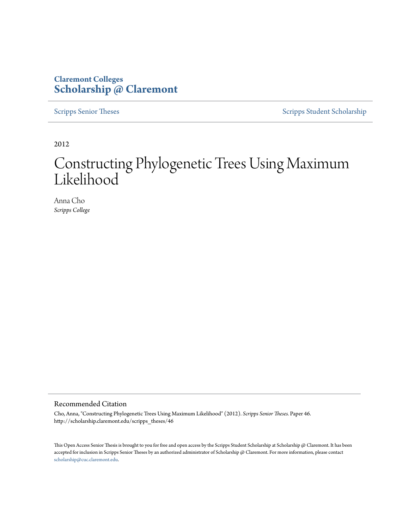#### **Claremont Colleges [Scholarship @ Claremont](http://scholarship.claremont.edu)**

[Scripps Senior Theses](http://scholarship.claremont.edu/scripps_theses) [Scripps Student Scholarship](http://scholarship.claremont.edu/scripps_student)

2012

## Constructing Phylogenetic Trees Using Maximum Likelihood

Anna Cho *Scripps College*

#### Recommended Citation

Cho, Anna, "Constructing Phylogenetic Trees Using Maximum Likelihood" (2012). *Scripps Senior Theses.* Paper 46. http://scholarship.claremont.edu/scripps\_theses/46

This Open Access Senior Thesis is brought to you for free and open access by the Scripps Student Scholarship at Scholarship @ Claremont. It has been accepted for inclusion in Scripps Senior Theses by an authorized administrator of Scholarship @ Claremont. For more information, please contact [scholarship@cuc.claremont.edu.](mailto:scholarship@cuc.claremont.edu)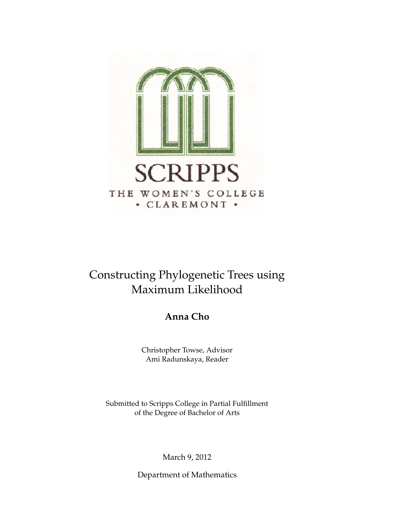

### Constructing Phylogenetic Trees using Maximum Likelihood

**Anna Cho**

Christopher Towse, Advisor Ami Radunskaya, Reader

Submitted to Scripps College in Partial Fulfillment of the Degree of Bachelor of Arts

March 9, 2012

Department of Mathematics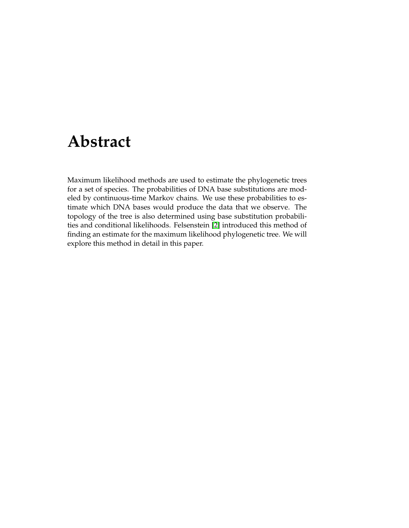## **Abstract**

Maximum likelihood methods are used to estimate the phylogenetic trees for a set of species. The probabilities of DNA base substitutions are modeled by continuous-time Markov chains. We use these probabilities to estimate which DNA bases would produce the data that we observe. The topology of the tree is also determined using base substitution probabilities and conditional likelihoods. Felsenstein [2] introduced this method of finding an estimate for the maximum likelihood phylogenetic tree. We will explore this method in detail in this paper.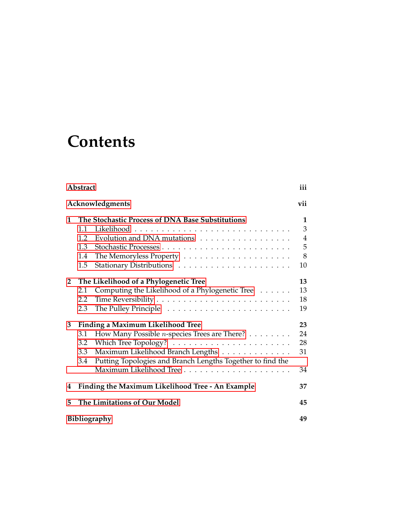# **Contents**

|                                                             | Abstract                                                                    |    |  |  |  |  |
|-------------------------------------------------------------|-----------------------------------------------------------------------------|----|--|--|--|--|
|                                                             | Acknowledgments<br>vii                                                      |    |  |  |  |  |
| 1                                                           | The Stochastic Process of DNA Base Substitutions                            |    |  |  |  |  |
|                                                             | 1.1                                                                         | 3  |  |  |  |  |
|                                                             | 1.2<br>Evolution and DNA mutations                                          | 4  |  |  |  |  |
|                                                             | 1.3                                                                         | 5  |  |  |  |  |
|                                                             | 1.4                                                                         | 8  |  |  |  |  |
|                                                             | 1.5                                                                         | 10 |  |  |  |  |
| $\mathbf{2}$                                                | The Likelihood of a Phylogenetic Tree                                       | 13 |  |  |  |  |
|                                                             | Computing the Likelihood of a Phylogenetic Tree<br>2.1                      | 13 |  |  |  |  |
|                                                             | 2.2                                                                         | 18 |  |  |  |  |
|                                                             | 2.3                                                                         | 19 |  |  |  |  |
| 3                                                           | <b>Finding a Maximum Likelihood Tree</b>                                    | 23 |  |  |  |  |
|                                                             | 3.1<br>How Many Possible <i>n</i> -species Trees are There? $\ldots \ldots$ | 24 |  |  |  |  |
|                                                             | 3.2                                                                         | 28 |  |  |  |  |
|                                                             | Maximum Likelihood Branch Lengths<br>3.3                                    | 31 |  |  |  |  |
|                                                             | Putting Topologies and Branch Lengths Together to find the<br>3.4           |    |  |  |  |  |
|                                                             |                                                                             | 34 |  |  |  |  |
| Finding the Maximum Likelihood Tree - An Example<br>37<br>4 |                                                                             |    |  |  |  |  |
| 5                                                           | The Limitations of Our Model<br>45                                          |    |  |  |  |  |
|                                                             | <b>Bibliography</b><br>49                                                   |    |  |  |  |  |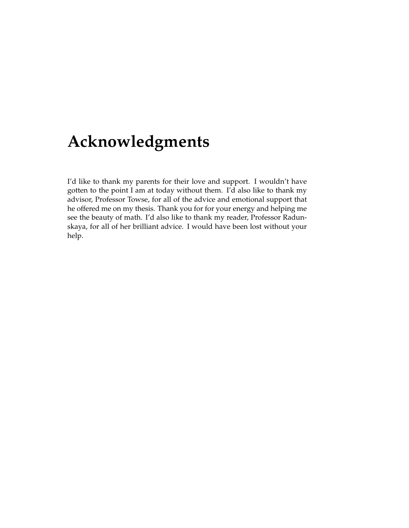## **Acknowledgments**

I'd like to thank my parents for their love and support. I wouldn't have gotten to the point I am at today without them. I'd also like to thank my advisor, Professor Towse, for all of the advice and emotional support that he offered me on my thesis. Thank you for for your energy and helping me see the beauty of math. I'd also like to thank my reader, Professor Radunskaya, for all of her brilliant advice. I would have been lost without your help.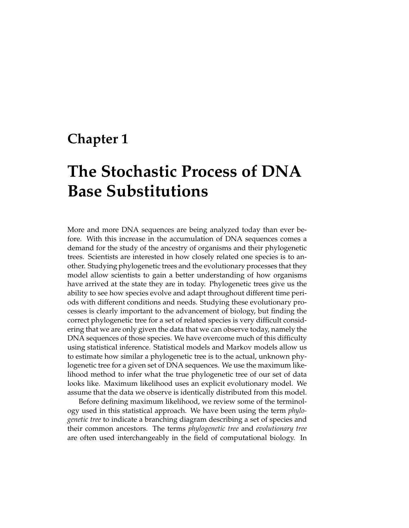### **Chapter 1**

## **The Stochastic Process of DNA Base Substitutions**

More and more DNA sequences are being analyzed today than ever before. With this increase in the accumulation of DNA sequences comes a demand for the study of the ancestry of organisms and their phylogenetic trees. Scientists are interested in how closely related one species is to another. Studying phylogenetic trees and the evolutionary processes that they model allow scientists to gain a better understanding of how organisms have arrived at the state they are in today. Phylogenetic trees give us the ability to see how species evolve and adapt throughout different time periods with different conditions and needs. Studying these evolutionary processes is clearly important to the advancement of biology, but finding the correct phylogenetic tree for a set of related species is very difficult considering that we are only given the data that we can observe today, namely the DNA sequences of those species. We have overcome much of this difficulty using statistical inference. Statistical models and Markov models allow us to estimate how similar a phylogenetic tree is to the actual, unknown phylogenetic tree for a given set of DNA sequences. We use the maximum likelihood method to infer what the true phylogenetic tree of our set of data looks like. Maximum likelihood uses an explicit evolutionary model. We assume that the data we observe is identically distributed from this model.

Before defining maximum likelihood, we review some of the terminology used in this statistical approach. We have been using the term *phylogenetic tree* to indicate a branching diagram describing a set of species and their common ancestors. The terms *phylogenetic tree* and *evolutionary tree* are often used interchangeably in the field of computational biology. In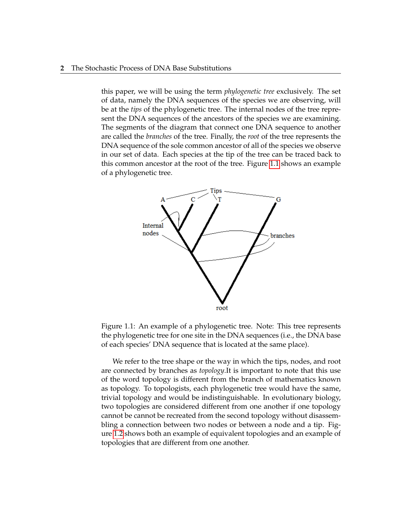this paper, we will be using the term *phylogenetic tree* exclusively. The set of data, namely the DNA sequences of the species we are observing, will be at the *tips* of the phylogenetic tree. The internal nodes of the tree represent the DNA sequences of the ancestors of the species we are examining. The segments of the diagram that connect one DNA sequence to another are called the *branches* of the tree. Finally, the *root* of the tree represents the DNA sequence of the sole common ancestor of all of the species we observe in our set of data. Each species at the tip of the tree can be traced back to this common ancestor at the root of the tree. Figure 1.1 shows an example of a phylogenetic tree.



Figure 1.1: An example of a phylogenetic tree. Note: This tree represents the phylogenetic tree for one site in the DNA sequences (i.e., the DNA base of each species' DNA sequence that is located at the same place).

We refer to the tree shape or the way in which the tips, nodes, and root are connected by branches as *topology*.It is important to note that this use of the word topology is different from the branch of mathematics known as topology. To topologists, each phylogenetic tree would have the same, trivial topology and would be indistinguishable. In evolutionary biology, two topologies are considered different from one another if one topology cannot be cannot be recreated from the second topology without disassembling a connection between two nodes or between a node and a tip. Figure 1.2 shows both an example of equivalent topologies and an example of topologies that are different from one another.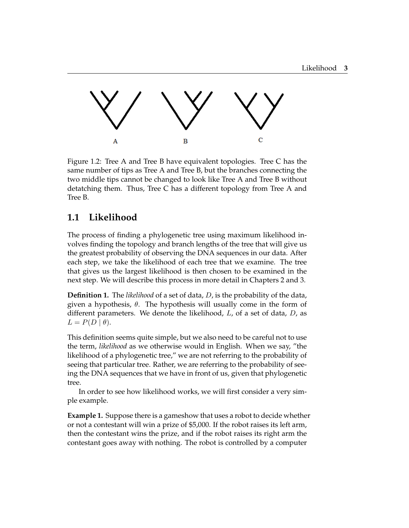

Figure 1.2: Tree A and Tree B have equivalent topologies. Tree C has the same number of tips as Tree A and Tree B, but the branches connecting the two middle tips cannot be changed to look like Tree A and Tree B without detatching them. Thus, Tree C has a different topology from Tree A and Tree B.

#### **1.1 Likelihood**

The process of finding a phylogenetic tree using maximum likelihood involves finding the topology and branch lengths of the tree that will give us the greatest probability of observing the DNA sequences in our data. After each step, we take the likelihood of each tree that we examine. The tree that gives us the largest likelihood is then chosen to be examined in the next step. We will describe this process in more detail in Chapters 2 and 3.

**Definition 1.** The *likelihood* of a set of data, D, is the probability of the data, given a hypothesis,  $\theta$ . The hypothesis will usually come in the form of different parameters. We denote the likelihood,  $L$ , of a set of data,  $D$ , as  $L = P(D | \theta).$ 

This definition seems quite simple, but we also need to be careful not to use the term, *likelihood* as we otherwise would in English. When we say, "the likelihood of a phylogenetic tree," we are not referring to the probability of seeing that particular tree. Rather, we are referring to the probability of seeing the DNA sequences that we have in front of us, given that phylogenetic tree.

In order to see how likelihood works, we will first consider a very simple example.

**Example 1.** Suppose there is a gameshow that uses a robot to decide whether or not a contestant will win a prize of \$5,000. If the robot raises its left arm, then the contestant wins the prize, and if the robot raises its right arm the contestant goes away with nothing. The robot is controlled by a computer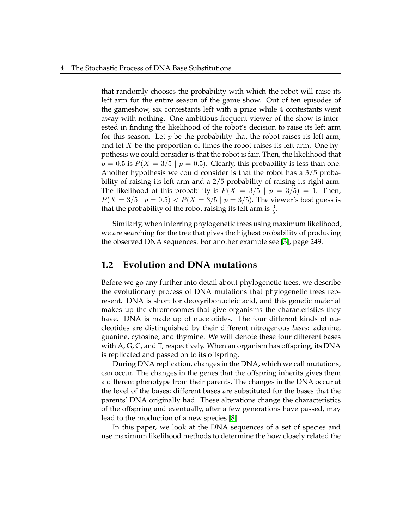that randomly chooses the probability with which the robot will raise its left arm for the entire season of the game show. Out of ten episodes of the gameshow, six contestants left with a prize while 4 contestants went away with nothing. One ambitious frequent viewer of the show is interested in finding the likelihood of the robot's decision to raise its left arm for this season. Let  $p$  be the probability that the robot raises its left arm, and let  $X$  be the proportion of times the robot raises its left arm. One hypothesis we could consider is that the robot is fair. Then, the likelihood that  $p = 0.5$  is  $P(X = 3/5 | p = 0.5)$ . Clearly, this probability is less than one. Another hypothesis we could consider is that the robot has a 3/5 probability of raising its left arm and a 2/5 probability of raising its right arm. The likelihood of this probability is  $P(X = 3/5 | p = 3/5) = 1$ . Then,  $P(X = 3/5 | p = 0.5) < P(X = 3/5 | p = 3/5)$ . The viewer's best guess is that the probability of the robot raising its left arm is  $\frac{3}{5}$ .

Similarly, when inferring phylogenetic trees using maximum likelihood, we are searching for the tree that gives the highest probability of producing the observed DNA sequences. For another example see [3], page 249.

#### **1.2 Evolution and DNA mutations**

Before we go any further into detail about phylogenetic trees, we describe the evolutionary process of DNA mutations that phylogenetic trees represent. DNA is short for deoxyribonucleic acid, and this genetic material makes up the chromosomes that give organisms the characteristics they have. DNA is made up of nucelotides. The four different kinds of nucleotides are distinguished by their different nitrogenous *bases*: adenine, guanine, cytosine, and thymine. We will denote these four different bases with A, G, C, and T, respectively. When an organism has offspring, its DNA is replicated and passed on to its offspring.

During DNA replication, changes in the DNA, which we call mutations, can occur. The changes in the genes that the offspring inherits gives them a different phenotype from their parents. The changes in the DNA occur at the level of the bases; different bases are substituted for the bases that the parents' DNA originally had. These alterations change the characteristics of the offspring and eventually, after a few generations have passed, may lead to the production of a new species [8].

In this paper, we look at the DNA sequences of a set of species and use maximum likelihood methods to determine the how closely related the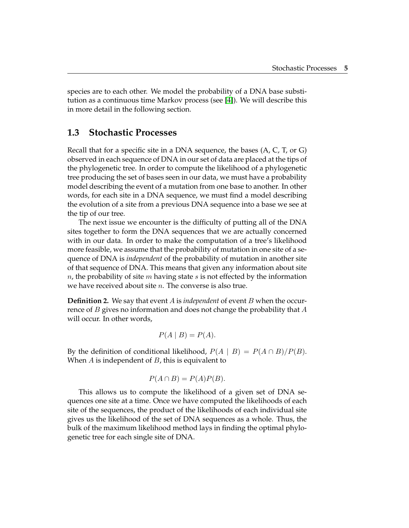species are to each other. We model the probability of a DNA base substitution as a continuous time Markov process (see [4]). We will describe this in more detail in the following section.

#### **1.3 Stochastic Processes**

Recall that for a specific site in a DNA sequence, the bases (A, C, T, or G) observed in each sequence of DNA in our set of data are placed at the tips of the phylogenetic tree. In order to compute the likelihood of a phylogenetic tree producing the set of bases seen in our data, we must have a probability model describing the event of a mutation from one base to another. In other words, for each site in a DNA sequence, we must find a model describing the evolution of a site from a previous DNA sequence into a base we see at the tip of our tree.

The next issue we encounter is the difficulty of putting all of the DNA sites together to form the DNA sequences that we are actually concerned with in our data. In order to make the computation of a tree's likelihood more feasible, we assume that the probability of mutation in one site of a sequence of DNA is *independent* of the probability of mutation in another site of that sequence of DNA. This means that given any information about site  $n$ , the probability of site m having state s is not effected by the information we have received about site  $n$ . The converse is also true.

**Definition 2.** We say that event A is *independent* of event B when the occurrence of B gives no information and does not change the probability that A will occur. In other words,

$$
P(A \mid B) = P(A).
$$

By the definition of conditional likelihood,  $P(A | B) = P(A \cap B)/P(B)$ . When  $A$  is independent of  $B$ , this is equivalent to

$$
P(A \cap B) = P(A)P(B).
$$

This allows us to compute the likelihood of a given set of DNA sequences one site at a time. Once we have computed the likelihoods of each site of the sequences, the product of the likelihoods of each individual site gives us the likelihood of the set of DNA sequences as a whole. Thus, the bulk of the maximum likelihood method lays in finding the optimal phylogenetic tree for each single site of DNA.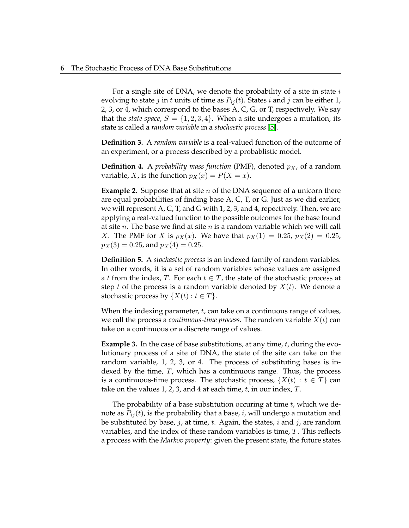For a single site of DNA, we denote the probability of a site in state  $i$ evolving to state *j* in *t* units of time as  $P_{ij}(t)$ . States *i* and *j* can be either 1, 2, 3, or 4, which correspond to the bases A, C, G, or T, respectively. We say that the *state space*,  $S = \{1, 2, 3, 4\}$ . When a site undergoes a mutation, its state is called a *random variable* in a *stochastic process* [5].

**Definition 3.** A *random variable* is a real-valued function of the outcome of an experiment, or a process described by a probablistic model.

**Definition 4.** A *probability mass function* (PMF), denoted  $p<sub>X</sub>$ , of a random variable, X, is the function  $p_X(x) = P(X = x)$ .

**Example 2.** Suppose that at site *n* of the DNA sequence of a unicorn there are equal probabilities of finding base A, C, T, or G. Just as we did earlier, we will represent A, C, T, and G with 1, 2, 3, and 4, repectively. Then, we are applying a real-valued function to the possible outcomes for the base found at site *n*. The base we find at site *n* is a random variable which we will call *X*. The PMF for *X* is  $p_X(x)$ . We have that  $p_X(1) = 0.25$ ,  $p_X(2) = 0.25$ ,  $p_X(3) = 0.25$ , and  $p_X(4) = 0.25$ .

**Definition 5.** A *stochastic process* is an indexed family of random variables. In other words, it is a set of random variables whose values are assigned a t from the index, T. For each  $t \in T$ , the state of the stochastic process at step t of the process is a random variable denoted by  $X(t)$ . We denote a stochastic process by  $\{X(t): t \in T\}$ .

When the indexing parameter,  $t$ , can take on a continuous range of values, we call the process a *continuous-time process*. The random variable  $X(t)$  can take on a continuous or a discrete range of values.

**Example 3.** In the case of base substitutions, at any time, t, during the evolutionary process of a site of DNA, the state of the site can take on the random variable, 1, 2, 3, or 4. The process of substituting bases is indexed by the time,  $T$ , which has a continuous range. Thus, the process is a continuous-time process. The stochastic process,  $\{X(t): t \in T\}$  can take on the values 1, 2, 3, and 4 at each time,  $t$ , in our index,  $T$ .

The probability of a base substitution occuring at time  $t$ , which we denote as  $P_{ij}(t)$ , is the probability that a base, *i*, will undergo a mutation and be substituted by base, j, at time, t. Again, the states, i and j, are random variables, and the index of these random variables is time, T. This reflects a process with the *Markov property*: given the present state, the future states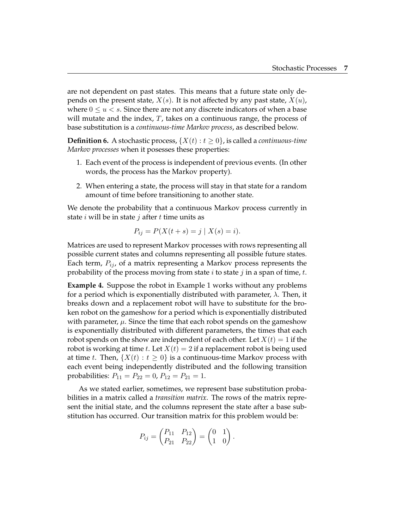are not dependent on past states. This means that a future state only depends on the present state,  $X(s)$ . It is not affected by any past state,  $X(u)$ , where  $0 \le u < s$ . Since there are not any discrete indicators of when a base will mutate and the index,  $T$ , takes on a continuous range, the process of base substitution is a *continuous-time Markov process*, as described below.

**Definition 6.** A stochastic process,  $\{X(t): t \geq 0\}$ , is called a *continuous-time Markov processes* when it posesses these properties:

- 1. Each event of the process is independent of previous events. (In other words, the process has the Markov property).
- 2. When entering a state, the process will stay in that state for a random amount of time before transitioning to another state.

We denote the probability that a continuous Markov process currently in state  $i$  will be in state  $j$  after  $t$  time units as

$$
P_{ij} = P(X(t + s) = j \mid X(s) = i).
$$

Matrices are used to represent Markov processes with rows representing all possible current states and columns representing all possible future states. Each term,  $P_{ij}$ , of a matrix representing a Markov process represents the probability of the process moving from state i to state j in a span of time, t.

**Example 4.** Suppose the robot in Example 1 works without any problems for a period which is exponentially distributed with parameter,  $\lambda$ . Then, it breaks down and a replacement robot will have to substitute for the broken robot on the gameshow for a period which is exponentially distributed with parameter,  $\mu$ . Since the time that each robot spends on the gameshow is exponentially distributed with different parameters, the times that each robot spends on the show are independent of each other. Let  $X(t) = 1$  if the robot is working at time t. Let  $X(t) = 2$  if a replacement robot is being used at time t. Then,  $\{X(t): t \geq 0\}$  is a continuous-time Markov process with each event being independently distributed and the following transition probabilities:  $P_{11} = P_{22} = 0$ ,  $P_{12} = P_{21} = 1$ .

As we stated earlier, sometimes, we represent base substitution probabilities in a matrix called a *transition matrix*. The rows of the matrix represent the initial state, and the columns represent the state after a base substitution has occurred. Our transition matrix for this problem would be:

$$
P_{ij} = \begin{pmatrix} P_{11} & P_{12} \\ P_{21} & P_{22} \end{pmatrix} = \begin{pmatrix} 0 & 1 \\ 1 & 0 \end{pmatrix}.
$$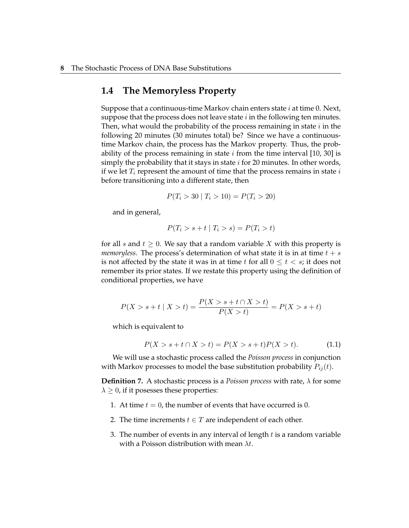#### **1.4 The Memoryless Property**

Suppose that a continuous-time Markov chain enters state  $i$  at time 0. Next, suppose that the process does not leave state  $i$  in the following ten minutes. Then, what would the probability of the process remaining in state  $i$  in the following 20 minutes (30 minutes total) be? Since we have a continuoustime Markov chain, the process has the Markov property. Thus, the probability of the process remaining in state  $i$  from the time interval [10, 30] is simply the probability that it stays in state  $i$  for 20 minutes. In other words, if we let  $T_i$  represent the amount of time that the process remains in state  $i$ before transitioning into a different state, then

$$
P(T_i > 30 | T_i > 10) = P(T_i > 20)
$$

and in general,

$$
P(T_i > s + t | T_i > s) = P(T_i > t)
$$

for all s and  $t \geq 0$ . We say that a random variable X with this property is *memoryless.* The process's determination of what state it is in at time  $t + s$ is not affected by the state it was in at time t for all  $0 \le t \le s$ ; it does not remember its prior states. If we restate this property using the definition of conditional properties, we have

$$
P(X > s + t | X > t) = \frac{P(X > s + t \cap X > t)}{P(X > t)} = P(X > s + t)
$$

which is equivalent to

$$
P(X > s + t \cap X > t) = P(X > s + t)P(X > t).
$$
 (1.1)

We will use a stochastic process called the *Poisson process* in conjunction with Markov processes to model the base substitution probability  $P_{ii}(t)$ .

**Definition 7.** A stochastic process is a *Poisson process* with rate, λ for some  $\lambda \geq 0$ , if it posesses these properties:

- 1. At time  $t = 0$ , the number of events that have occurred is 0.
- 2. The time increments  $t \in T$  are independent of each other.
- 3. The number of events in any interval of length  $t$  is a random variable with a Poisson distribution with mean  $\lambda t$ .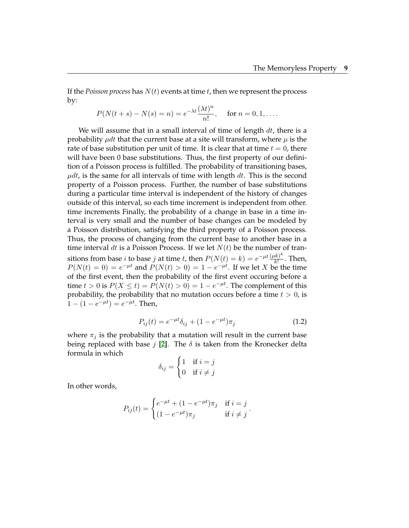If the *Poisson process* has  $N(t)$  events at time  $t$ , then we represent the process by:

$$
P(N(t+s) - N(s) = n) = e^{-\lambda t} \frac{(\lambda t)^n}{n!}, \quad \text{ for } n = 0, 1, \dots.
$$

We will assume that in a small interval of time of length  $dt$ , there is a probability  $\mu dt$  that the current base at a site will transform, where  $\mu$  is the rate of base substitution per unit of time. It is clear that at time  $t = 0$ , there will have been 0 base substitutions. Thus, the first property of our definition of a Poisson process is fulfilled. The probability of transitioning bases,  $\mu dt$ , is the same for all intervals of time with length dt. This is the second property of a Poisson process. Further, the number of base substitutions during a particular time interval is independent of the history of changes outside of this interval, so each time increment is independent from other. time increments Finally, the probability of a change in base in a time interval is very small and the number of base changes can be modeled by a Poisson distribution, satisfying the third property of a Poisson process. Thus, the process of changing from the current base to another base in a time interval dt is a Poisson Process. If we let  $N(t)$  be the number of transitions from base *i* to base *j* at time *t*, then  $P(N(t) = k) = e^{-\mu t} \frac{(\mu k)^k}{k!}$  $\frac{k}{k!}$ . Then,  $P(N(t) = 0) = e^{-\mu t}$  and  $P(N(t) > 0) = 1 - e^{-\mu t}$ . If we let X be the time of the first event, then the probability of the first event occuring before a time  $t > 0$  is  $P(X \le t) = P(N(t) > 0) = 1 - e^{-\mu t}$ . The complement of this probability, the probability that no mutation occurs before a time  $t > 0$ , is  $1 - (1 - e^{-\mu t}) = e^{-\mu t}$ . Then,

$$
P_{ij}(t) = e^{-\mu t} \delta_{ij} + (1 - e^{-\mu t}) \pi_j \tag{1.2}
$$

where  $\pi_i$  is the probability that a mutation will result in the current base being replaced with base j [2]. The  $\delta$  is taken from the Kronecker delta formula in which

$$
\delta_{ij} = \begin{cases} 1 & \text{if } i = j \\ 0 & \text{if } i \neq j \end{cases}
$$

In other words,

$$
P_{ij}(t) = \begin{cases} e^{-\mu t} + (1 - e^{-\mu t})\pi_j & \text{if } i = j \\ (1 - e^{-\mu t})\pi_j & \text{if } i \neq j \end{cases}.
$$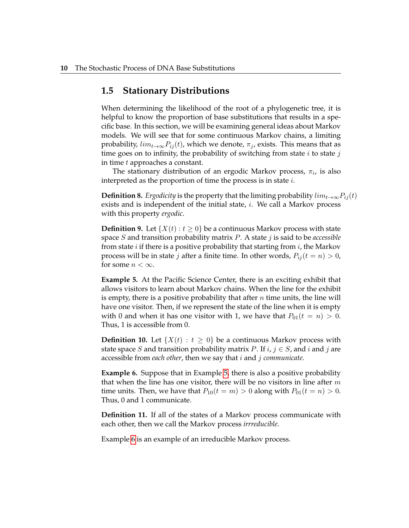#### **1.5 Stationary Distributions**

When determining the likelihood of the root of a phylogenetic tree, it is helpful to know the proportion of base substitutions that results in a specific base. In this section, we will be examining general ideas about Markov models. We will see that for some continuous Markov chains, a limiting probability,  $lim_{t\to\infty} P_{ij}(t)$ , which we denote,  $\pi_j$ , exists. This means that as time goes on to infinity, the probability of switching from state  $i$  to state  $j$ in time t approaches a constant.

The stationary distribution of an ergodic Markov process,  $\pi_i$ , is also interpreted as the proportion of time the process is in state i.

**Definition 8.** *Ergodicity* is the property that the limiting probability  $lim_{t\to\infty}P_{ij}(t)$ exists and is independent of the initial state, *i*. We call a Markov process with this property *ergodic*.

**Definition 9.** Let  $\{X(t): t \geq 0\}$  be a continuous Markov process with state space S and transition probability matrix P. A state j is said to be *accessible* from state *i* if there is a positive probability that starting from  $i$ , the Markov process will be in state *j* after a finite time. In other words,  $P_{ij}(t = n) > 0$ , for some  $n < \infty$ .

**Example 5.** At the Pacific Science Center, there is an exciting exhibit that allows visitors to learn about Markov chains. When the line for the exhibit is empty, there is a positive probability that after  $n$  time units, the line will have one visitor. Then, if we represent the state of the line when it is empty with 0 and when it has one visitor with 1, we have that  $P_{01}(t = n) > 0$ . Thus, 1 is accessible from 0.

**Definition 10.** Let  $\{X(t) : t \geq 0\}$  be a continuous Markov process with state space S and transition probability matrix P. If  $i, j \in S$ , and i and j are accessible from *each other*, then we say that i and j *communicate*.

**Example 6.** Suppose that in Example 5, there is also a positive probability that when the line has one visitor, there will be no visitors in line after  $m$ time units. Then, we have that  $P_{10}(t = m) > 0$  along with  $P_{01}(t = n) > 0$ . Thus, 0 and 1 communicate.

**Definition 11.** If all of the states of a Markov process communicate with each other, then we call the Markov process *irrreducible*.

Example 6 is an example of an irreducible Markov process.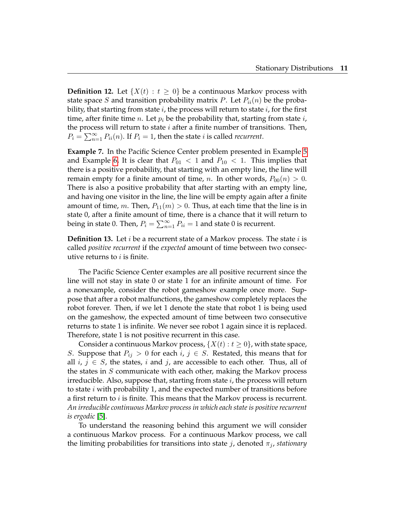**Definition 12.** Let  $\{X(t) : t \geq 0\}$  be a continuous Markov process with state space S and transition probability matrix P. Let  $P_{ii}(n)$  be the probability, that starting from state  $i$ , the process will return to state  $i$ , for the first time, after finite time *n*. Let  $p_i$  be the probability that, starting from state *i*, the process will return to state  $i$  after a finite number of transitions. Then,  $P_i = \sum_{n=1}^{\infty} P_{ii}(n)$ . If  $P_i = 1$ , then the state *i* is called *recurrent*.

**Example 7.** In the Pacific Science Center problem presented in Example 5 and Example 6, It is clear that  $P_{01} < 1$  and  $P_{10} < 1$ . This implies that there is a positive probability, that starting with an empty line, the line will remain empty for a finite amount of time, *n*. In other words,  $P_{00}(n) > 0$ . There is also a positive probability that after starting with an empty line, and having one visitor in the line, the line will be empty again after a finite amount of time, m. Then,  $P_{11}(m) > 0$ . Thus, at each time that the line is in state 0, after a finite amount of time, there is a chance that it will return to being in state 0. Then,  $P_i = \sum_{n=1}^{\infty} P_{ii} = 1$  and state 0 is recurrent.

**Definition 13.** Let  $i$  be a recurrent state of a Markov process. The state  $i$  is called *positive recurrent* if the *expected* amount of time between two consecutive returns to  $i$  is finite.

The Pacific Science Center examples are all positive recurrent since the line will not stay in state 0 or state 1 for an infinite amount of time. For a nonexample, consider the robot gameshow example once more. Suppose that after a robot malfunctions, the gameshow completely replaces the robot forever. Then, if we let 1 denote the state that robot 1 is being used on the gameshow, the expected amount of time between two consecutive returns to state 1 is infinite. We never see robot 1 again since it is replaced. Therefore, state 1 is not positive recurrent in this case.

Consider a continuous Markov process,  $\{X(t): t \geq 0\}$ , with state space, S. Suppose that  $P_{ij} > 0$  for each  $i, j \in S$ . Restated, this means that for all  $i, j \in S$ , the states, i and j, are accessible to each other. Thus, all of the states in  $S$  communicate with each other, making the Markov process irreducible. Also, suppose that, starting from state  $i$ , the process will return to state  $i$  with probability 1, and the expected number of transitions before a first return to  $i$  is finite. This means that the Markov process is recurrent. *An irreducible continuous Markov process in which each state is positive recurrent is ergodic* [5].

To understand the reasoning behind this argument we will consider a continuous Markov process. For a continuous Markov process, we call the limiting probabilities for transitions into state  $j$ , denoted  $\pi_j$ , *stationary*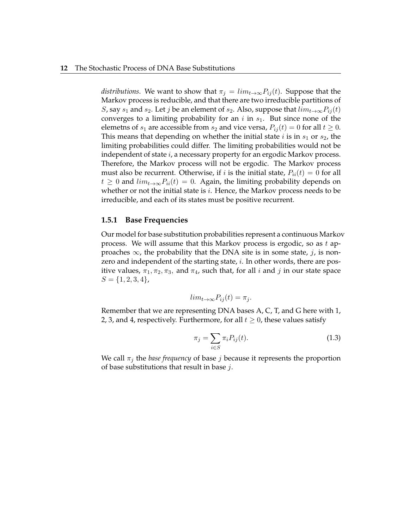*distributions*. We want to show that  $\pi_i = \lim_{t\to\infty} P_{ij}(t)$ . Suppose that the Markov process is reducible, and that there are two irreducible partitions of *S*, say  $s_1$  and  $s_2$ . Let *j* be an element of  $s_2$ . Also, suppose that  $lim_{t\to\infty}P_{ij}(t)$ converges to a limiting probability for an i in  $s_1$ . But since none of the elemetns of  $s_1$  are accessible from  $s_2$  and vice versa,  $P_{ij}(t) = 0$  for all  $t \ge 0$ . This means that depending on whether the initial state i is in  $s_1$  or  $s_2$ , the limiting probabilities could differ. The limiting probabilities would not be independent of state  $i$ , a necessary property for an ergodic Markov process. Therefore, the Markov process will not be ergodic. The Markov process must also be recurrent. Otherwise, if i is the initial state,  $P_{ii}(t) = 0$  for all  $t \geq 0$  and  $\lim_{t \to \infty} P_{ii}(t) = 0$ . Again, the limiting probability depends on whether or not the initial state is  $i$ . Hence, the Markov process needs to be irreducible, and each of its states must be positive recurrent.

#### **1.5.1 Base Frequencies**

Our model for base substitution probabilities represent a continuous Markov process. We will assume that this Markov process is ergodic, so as  $t$  approaches  $\infty$ , the probability that the DNA site is in some state, j, is nonzero and independent of the starting state, *i*. In other words, there are positive values,  $\pi_1, \pi_2, \pi_3$ , and  $\pi_4$ , such that, for all *i* and *j* in our state space  $S = \{1, 2, 3, 4\},\$ 

$$
lim_{t \to \infty} P_{ij}(t) = \pi_j.
$$

Remember that we are representing DNA bases A, C, T, and G here with 1, 2, 3, and 4, respectively. Furthermore, for all  $t \geq 0$ , these values satisfy

$$
\pi_j = \sum_{i \in S} \pi_i P_{ij}(t). \tag{1.3}
$$

We call  $\pi_j$  the *base frequency* of base *j* because it represents the proportion of base substitutions that result in base j.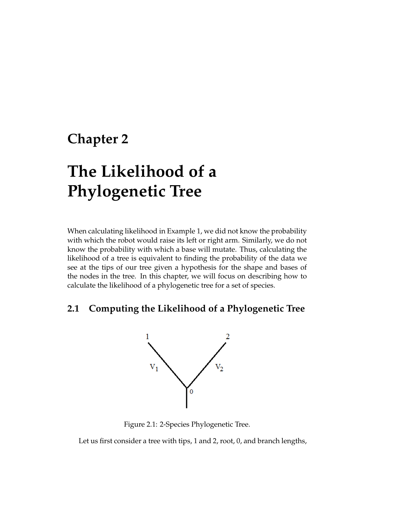### **Chapter 2**

# **The Likelihood of a Phylogenetic Tree**

When calculating likelihood in Example 1, we did not know the probability with which the robot would raise its left or right arm. Similarly, we do not know the probability with which a base will mutate. Thus, calculating the likelihood of a tree is equivalent to finding the probability of the data we see at the tips of our tree given a hypothesis for the shape and bases of the nodes in the tree. In this chapter, we will focus on describing how to calculate the likelihood of a phylogenetic tree for a set of species.

#### **2.1 Computing the Likelihood of a Phylogenetic Tree**



Figure 2.1: 2-Species Phylogenetic Tree.

Let us first consider a tree with tips, 1 and 2, root, 0, and branch lengths,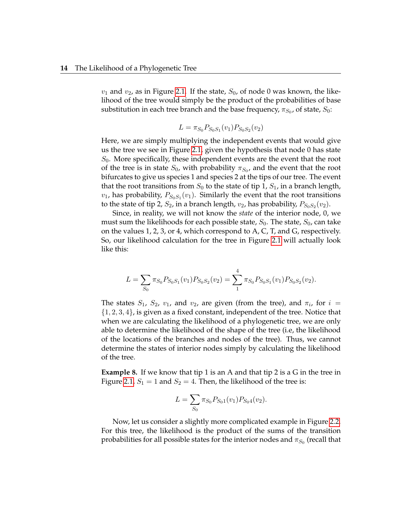$v_1$  and  $v_2$ , as in Figure 2.1. If the state,  $S_0$ , of node 0 was known, the likelihood of the tree would simply be the product of the probabilities of base substitution in each tree branch and the base frequency,  $\pi_{S_0}$ , of state,  $S_0$ :

$$
L = \pi_{S_0} P_{S_0 S_1}(v_1) P_{S_0 S_2}(v_2)
$$

Here, we are simply multiplying the independent events that would give us the tree we see in Figure 2.1, given the hypothesis that node 0 has state  $S_0$ . More specifically, these independent events are the event that the root of the tree is in state  $S_0$ , with probability  $\pi_{S_0}$ , and the event that the root bifurcates to give us species 1 and species 2 at the tips of our tree. The event that the root transitions from  $S_0$  to the state of tip 1,  $S_1$ , in a branch length,  $v_1$ , has probability,  $P_{S_0S_1}(v_1)$ . Similarly the event that the root transitions to the state of tip 2,  $S_2$ , in a branch length,  $v_2$ , has probability,  $P_{S_0S_2}(v_2)$ .

Since, in reality, we will not know the *state* of the interior node, 0, we must sum the likelihoods for each possible state,  $S_0$ . The state,  $S_0$ , can take on the values 1, 2, 3, or 4, which correspond to A, C, T, and G, respectively. So, our likelihood calculation for the tree in Figure 2.1 will actually look like this:

$$
L = \sum_{S_0} \pi_{S_0} P_{S_0 S_1}(v_1) P_{S_0 S_2}(v_2) = \sum_{1}^{4} \pi_{S_0} P_{S_0 S_1}(v_1) P_{S_0 S_2}(v_2).
$$

The states  $S_1$ ,  $S_2$ ,  $v_1$ , and  $v_2$ , are given (from the tree), and  $\pi_i$ , for  $i =$  $\{1, 2, 3, 4\}$ , is given as a fixed constant, independent of the tree. Notice that when we are calculating the likelihood of a phylogenetic tree, we are only able to determine the likelihood of the shape of the tree (i.e, the likelihood of the locations of the branches and nodes of the tree). Thus, we cannot determine the states of interior nodes simply by calculating the likelihood of the tree.

**Example 8.** If we know that tip 1 is an A and that tip 2 is a G in the tree in Figure 2.1,  $S_1 = 1$  and  $S_2 = 4$ . Then, the likelihood of the tree is:

$$
L = \sum_{S_0} \pi_{S_0} P_{S_0 1}(v_1) P_{S_0 4}(v_2).
$$

Now, let us consider a slightly more complicated example in Figure 2.2. For this tree, the likelihood is the product of the sums of the transition probabilities for all possible states for the interior nodes and  $\pi_{S_0}$  (recall that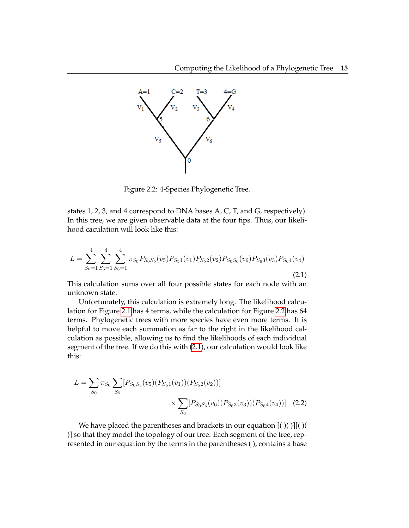

Figure 2.2: 4-Species Phylogenetic Tree.

states 1, 2, 3, and 4 correspond to DNA bases A, C, T, and G, respectively). In this tree, we are given observable data at the four tips. Thus, our likelihood caculation will look like this:

$$
L = \sum_{S_0=1}^4 \sum_{S_5=1}^4 \sum_{S_6=1}^4 \pi_{S_0} P_{S_0 S_5}(v_5) P_{S_51}(v_1) P_{S_52}(v_2) P_{S_0 S_6}(v_6) P_{S_63}(v_3) P_{S_64}(v_4)
$$
\n(2.1)

This calculation sums over all four possible states for each node with an unknown state.

Unfortunately, this calculation is extremely long. The likelihood calculation for Figure 2.1 has 4 terms, while the calculation for Figure 2.2 has 64 terms. Phylogenetic trees with more species have even more terms. It is helpful to move each summation as far to the right in the likelihood calculation as possible, allowing us to find the likelihoods of each individual segment of the tree. If we do this with (2.1), our calculation would look like this:

$$
L = \sum_{S_0} \pi_{S_0} \sum_{S_5} [P_{S_0 S_5}(v_5)(P_{S_5 1}(v_1))(P_{S_5 2}(v_2))]
$$
  
 
$$
\times \sum_{S_6} [P_{S_0 S_6}(v_6)(P_{S_6 3}(v_3))(P_{S_6 4}(v_4))]
$$
 (2.2)

We have placed the parentheses and brackets in our equation [( )( )][( )( )] so that they model the topology of our tree. Each segment of the tree, represented in our equation by the terms in the parentheses ( ), contains a base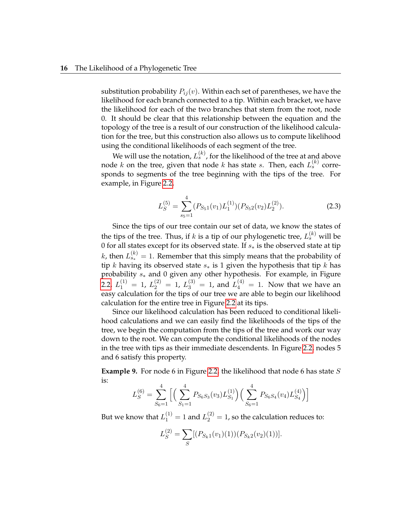substitution probability  $P_{ij}(v)$ . Within each set of parentheses, we have the likelihood for each branch connected to a tip. Within each bracket, we have the likelihood for each of the two branches that stem from the root, node 0. It should be clear that this relationship between the equation and the topology of the tree is a result of our construction of the likelihood calculation for the tree, but this construction also allows us to compute likelihood using the conditional likelihoods of each segment of the tree.

We will use the notation,  $L_s^{(k)}$ , for the likelihood of the tree at and above node  $k$  on the tree, given that node  $k$  has state  $s$ . Then, each  $L_s^{(k)}$  corresponds to segments of the tree beginning with the tips of the tree. For example, in Figure 2.2,

$$
L_S^{(5)} = \sum_{s_5=1}^4 (P_{S_51}(v_1) L_1^{(1)}) (P_{S_52}(v_2) L_2^{(2)}).
$$
 (2.3)

Since the tips of our tree contain our set of data, we know the states of the tips of the tree. Thus, if  $k$  is a tip of our phylogenetic tree,  $L_s^{(k)}$  will be 0 for all states except for its observed state. If  $s_*$  is the observed state at tip k, then  $L_{s_*}^{(k)} = 1$ . Remember that this simply means that the probability of tip k having its observed state  $s_*$  is 1 given the hypothesis that tip k has probability s<sup>∗</sup> and 0 given any other hypothesis. For example, in Figure 2.2,  $L_1^{(1)} = 1$ ,  $L_2^{(2)} = 1$ ,  $L_3^{(3)} = 1$ , and  $L_4^{(4)} = 1$ . Now that we have an easy calculation for the tips of our tree we are able to begin our likelihood calculation for the entire tree in Figure 2.2 at its tips.

Since our likelihood calculation has been reduced to conditional likelihood calculations and we can easily find the likelihoods of the tips of the tree, we begin the computation from the tips of the tree and work our way down to the root. We can compute the conditional likelihoods of the nodes in the tree with tips as their immediate descendents. In Figure 2.2, nodes 5 and 6 satisfy this property.

**Example 9.** For node 6 in Figure 2.2, the likelihood that node 6 has state S is:

$$
L_S^{(6)} = \sum_{S_6=1}^4 \Big[ \Big( \sum_{S_1=1}^4 P_{S_6S_3}(v_3) L_{S_1}^{(1)} \Big) \Big( \sum_{S_6=1}^4 P_{S_6S_4}(v_4) L_{S_4}^{(4)} \Big) \Big]
$$

But we know that  $L_1^{(1)}=1$  and  $L_2^{(2)}=1$ , so the calculation reduces to:

$$
L_S^{(2)} = \sum_S [(P_{S_k1}(v_1)(1))(P_{S_k2}(v_2)(1))].
$$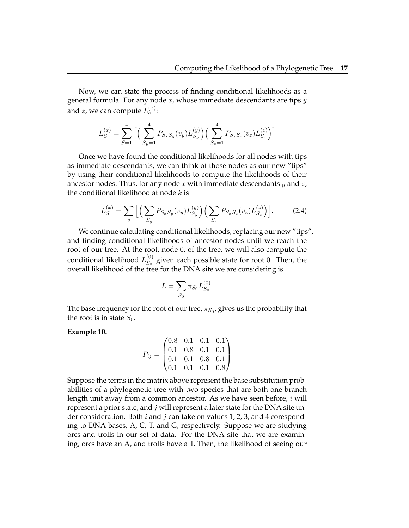Now, we can state the process of finding conditional likelihoods as a general formula. For any node  $x$ , whose immediate descendants are tips  $y$ and  $z$ , we can compute  $L^{(x)}_s$ :

$$
L_S^{(x)} = \sum_{S=1}^4 \Big[ \Big( \sum_{S_y=1}^4 P_{S_xS_y}(v_y) L_{S_y}^{(y)} \Big) \Big( \sum_{S_z=1}^4 P_{S_xS_z}(v_z) L_{S_z}^{(z)} \Big) \Big]
$$

Once we have found the conditional likelihoods for all nodes with tips as immediate descendants, we can think of those nodes as our new "tips" by using their conditional likelihoods to compute the likelihoods of their ancestor nodes. Thus, for any node  $x$  with immediate descendants  $y$  and  $z$ , the conditional likelihood at node  $k$  is

$$
L_S^{(x)} = \sum_s \left[ \left( \sum_{S_y} P_{S_x S_y}(v_y) L_{S_y}^{(y)} \right) \left( \sum_{S_z} P_{S_x S_z}(v_z) L_{S_z}^{(z)} \right) \right]. \tag{2.4}
$$

.

We continue calculating conditional likelihoods, replacing our new "tips", and finding conditional likelihoods of ancestor nodes until we reach the root of our tree. At the root, node 0, of the tree, we will also compute the conditional likelihood  $L_{S_0}^{(0)}$  $S_0^{(0)}$  given each possible state for root 0. Then, the overall likelihood of the tree for the DNA site we are considering is

$$
L = \sum_{S_0} \pi_{S_0} L_{S_0}^{(0)}
$$

The base frequency for the root of our tree,  $\pi_{S_0}$ , gives us the probability that the root is in state  $S_0$ .

**Example 10.**

$$
P_{ij} = \begin{pmatrix} 0.8 & 0.1 & 0.1 & 0.1 \\ 0.1 & 0.8 & 0.1 & 0.1 \\ 0.1 & 0.1 & 0.8 & 0.1 \\ 0.1 & 0.1 & 0.1 & 0.8 \end{pmatrix}
$$

Suppose the terms in the matrix above represent the base substitution probabilities of a phylogenetic tree with two species that are both one branch length unit away from a common ancestor. As we have seen before, *i* will represent a prior state, and j will represent a later state for the DNA site under consideration. Both  $i$  and  $j$  can take on values 1, 2, 3, and 4 coresponding to DNA bases, A, C, T, and G, respectively. Suppose we are studying orcs and trolls in our set of data. For the DNA site that we are examining, orcs have an A, and trolls have a T. Then, the likelihood of seeing our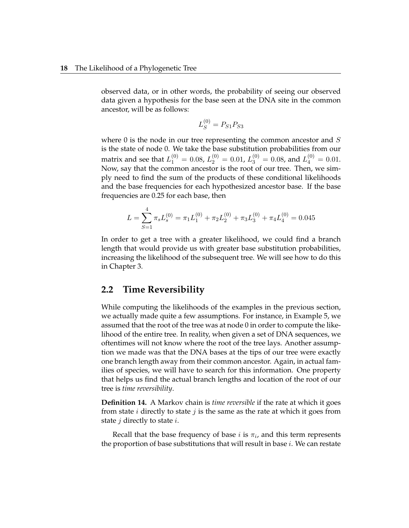observed data, or in other words, the probability of seeing our observed data given a hypothesis for the base seen at the DNA site in the common ancestor, will be as follows:

$$
L_S^{(0)} = P_{S1} P_{S3}
$$

where 0 is the node in our tree representing the common ancestor and S is the state of node 0. We take the base substitution probabilities from our matrix and see that  $L_1^{(0)} = 0.08$ ,  $L_2^{(0)} = 0.01$ ,  $L_3^{(0)} = 0.08$ , and  $L_4^{(0)} = 0.01$ . Now, say that the common ancestor is the root of our tree. Then, we simply need to find the sum of the products of these conditional likelihoods and the base frequencies for each hypothesized ancestor base. If the base frequencies are 0.25 for each base, then

$$
L = \sum_{S=1}^{4} \pi_{s} L_{s}^{(0)} = \pi_{1} L_{1}^{(0)} + \pi_{2} L_{2}^{(0)} + \pi_{3} L_{3}^{(0)} + \pi_{4} L_{4}^{(0)} = 0.045
$$

In order to get a tree with a greater likelihood, we could find a branch length that would provide us with greater base substitution probabilities, increasing the likelihood of the subsequent tree. We will see how to do this in Chapter 3.

#### **2.2 Time Reversibility**

While computing the likelihoods of the examples in the previous section, we actually made quite a few assumptions. For instance, in Example 5, we assumed that the root of the tree was at node 0 in order to compute the likelihood of the entire tree. In reality, when given a set of DNA sequences, we oftentimes will not know where the root of the tree lays. Another assumption we made was that the DNA bases at the tips of our tree were exactly one branch length away from their common ancestor. Again, in actual families of species, we will have to search for this information. One property that helps us find the actual branch lengths and location of the root of our tree is *time reversibility*.

**Definition 14.** A Markov chain is *time reversible* if the rate at which it goes from state  $i$  directly to state  $j$  is the same as the rate at which it goes from state  $j$  directly to state  $i$ .

Recall that the base frequency of base  $i$  is  $\pi_i$ , and this term represents the proportion of base substitutions that will result in base  $i$ . We can restate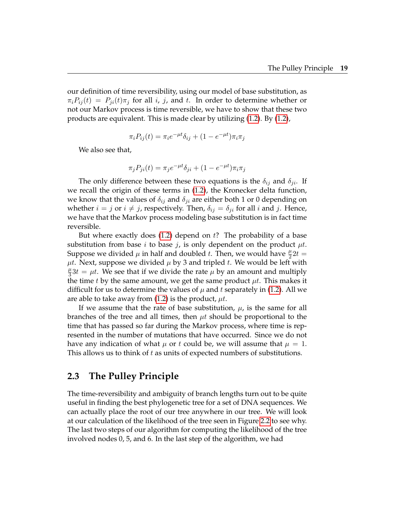our definition of time reversibility, using our model of base substitution, as  $\pi_i P_{ij}(t) = P_{ji}(t) \pi_j$  for all i, j, and t. In order to determine whether or not our Markov process is time reversible, we have to show that these two products are equivalent. This is made clear by utilizing (1.2). By (1.2),

$$
\pi_i P_{ij}(t) = \pi_i e^{-\mu t} \delta_{ij} + (1 - e^{-\mu t}) \pi_i \pi_j
$$

We also see that,

$$
\pi_j P_{ji}(t) = \pi_j e^{-\mu t} \delta_{ji} + (1 - e^{-\mu t}) \pi_i \pi_j
$$

The only difference between these two equations is the  $\delta_{ij}$  and  $\delta_{ji}$ . If we recall the origin of these terms in (1.2), the Kronecker delta function, we know that the values of  $\delta_{ij}$  and  $\delta_{ji}$  are either both 1 or 0 depending on whether  $i = j$  or  $i \neq j$ , respectively. Then,  $\delta_{ij} = \delta_{ji}$  for all i and j. Hence, we have that the Markov process modeling base substitution is in fact time reversible.

But where exactly does  $(1.2)$  depend on t? The probability of a base substitution from base *i* to base *j*, is only dependent on the product  $\mu t$ . Suppose we divided  $\mu$  in half and doubled t. Then, we would have  $\frac{\mu}{2}2t =$  $\mu t$ . Next, suppose we divided  $\mu$  by 3 and tripled t. We would be left with  $\mu$  $\frac{\mu}{3}3t = \mu t$ . We see that if we divide the rate  $\mu$  by an amount and multiply the time t by the same amount, we get the same product  $\mu t$ . This makes it difficult for us to determine the values of  $\mu$  and t separately in (1.2). All we are able to take away from  $(1.2)$  is the product,  $\mu t$ .

If we assume that the rate of base substitution,  $\mu$ , is the same for all branches of the tree and all times, then  $\mu t$  should be proportional to the time that has passed so far during the Markov process, where time is represented in the number of mutations that have occurred. Since we do not have any indication of what  $\mu$  or t could be, we will assume that  $\mu = 1$ . This allows us to think of t as units of expected numbers of substitutions.

#### **2.3 The Pulley Principle**

The time-reversibility and ambiguity of branch lengths turn out to be quite useful in finding the best phylogenetic tree for a set of DNA sequences. We can actually place the root of our tree anywhere in our tree. We will look at our calculation of the likelihood of the tree seen in Figure 2.2 to see why. The last two steps of our algorithm for computing the likelihood of the tree involved nodes 0, 5, and 6. In the last step of the algorithm, we had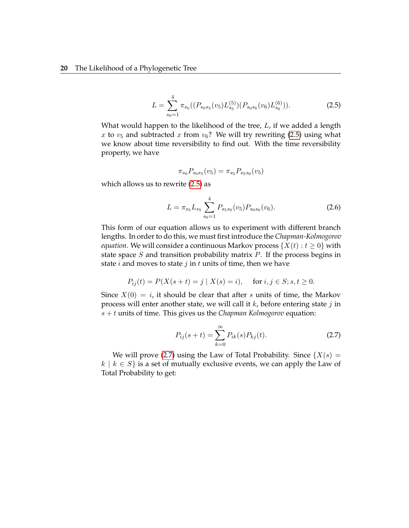$$
L = \sum_{s_0=1}^{4} \pi_{s_0}((P_{s_0s_5}(v_5)L_{s_5}^{(5)})(P_{s_0s_6}(v_6)L_{s_6}^{(6)})).
$$
 (2.5)

What would happen to the likelihood of the tree,  $L$ , if we added a length x to  $v_5$  and subtracted x from  $v_6$ ? We will try rewriting (2.5) using what we know about time reversibility to find out. With the time reversibility property, we have

$$
\pi_{s_0} P_{s_0 s_5}(v_5) = \pi_{s_5} P_{s_5 s_0}(v_5)
$$

which allows us to rewrite (2.5) as

$$
L = \pi_{s_5} L_{s_5} \sum_{s_0=1}^{4} P_{s_5s_0}(v_5) P_{s_0s_6}(v_6).
$$
 (2.6)

This form of our equation allows us to experiment with different branch lengths. In order to do this, we must first introduce the *Chapman-Kolmogorov equation*. We will consider a continuous Markov process  $\{X(t): t \geq 0\}$  with state space S and transition probability matrix  $P$ . If the process begins in state *i* and moves to state *j* in *t* units of time, then we have

$$
P_{ij}(t) = P(X(s+t) = j \mid X(s) = i), \quad \text{ for } i, j \in S; s, t \ge 0.
$$

Since  $X(0) = i$ , it should be clear that after s units of time, the Markov process will enter another state, we will call it  $k$ , before entering state  $j$  in s + t units of time. This gives us the *Chapman Kolmogorov* equation:

$$
P_{ij}(s+t) = \sum_{k=0}^{\infty} P_{ik}(s) P_{kj}(t).
$$
 (2.7)

We will prove (2.7) using the Law of Total Probability. Since  $\{X(s) =$  $k \mid k \in S$  is a set of mutually exclusive events, we can apply the Law of Total Probability to get: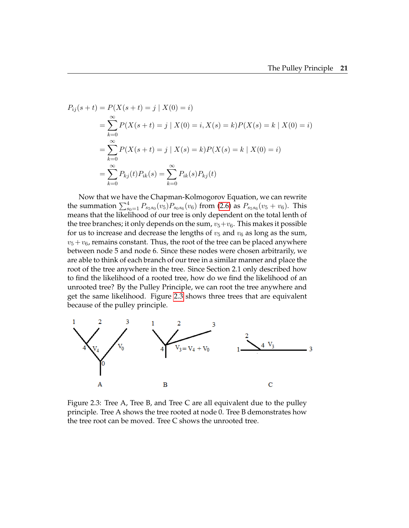$$
P_{ij}(s+t) = P(X(s+t) = j | X(0) = i)
$$
  
= 
$$
\sum_{k=0}^{\infty} P(X(s+t) = j | X(0) = i, X(s) = k)P(X(s) = k | X(0) = i)
$$
  
= 
$$
\sum_{k=0}^{\infty} P(X(s+t) = j | X(s) = k)P(X(s) = k | X(0) = i)
$$
  
= 
$$
\sum_{k=0}^{\infty} P_{kj}(t)P_{ik}(s) = \sum_{k=0}^{\infty} P_{ik}(s)P_{kj}(t)
$$

Now that we have the Chapman-Kolmogorov Equation, we can rewrite the summation  $\sum_{s_0=1}^4 P_{s_5s_0}(v_5) P_{s_0s_6}(v_6)$  from (2.6) as  $P_{s_5s_6}(v_5+v_6)$ . This means that the likelihood of our tree is only dependent on the total lenth of the tree branches; it only depends on the sum,  $v_5+v_6$ . This makes it possible for us to increase and decrease the lengths of  $v_5$  and  $v_6$  as long as the sum,  $v_5 + v_6$ , remains constant. Thus, the root of the tree can be placed anywhere between node 5 and node 6. Since these nodes were chosen arbitrarily, we are able to think of each branch of our tree in a similar manner and place the root of the tree anywhere in the tree. Since Section 2.1 only described how to find the likelihood of a rooted tree, how do we find the likelihood of an unrooted tree? By the Pulley Principle, we can root the tree anywhere and get the same likelihood. Figure 2.3 shows three trees that are equivalent because of the pulley principle.



Figure 2.3: Tree A, Tree B, and Tree C are all equivalent due to the pulley principle. Tree A shows the tree rooted at node 0. Tree B demonstrates how the tree root can be moved. Tree C shows the unrooted tree.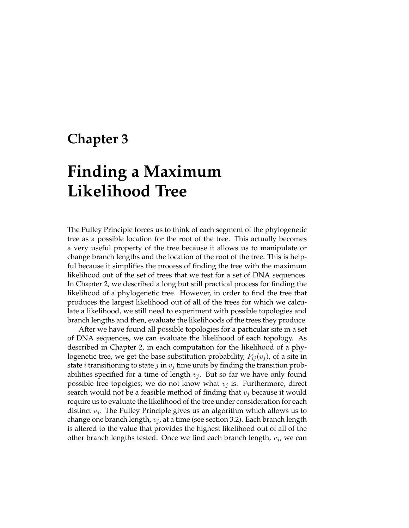### **Chapter 3**

# **Finding a Maximum Likelihood Tree**

The Pulley Principle forces us to think of each segment of the phylogenetic tree as a possible location for the root of the tree. This actually becomes a very useful property of the tree because it allows us to manipulate or change branch lengths and the location of the root of the tree. This is helpful because it simplifies the process of finding the tree with the maximum likelihood out of the set of trees that we test for a set of DNA sequences. In Chapter 2, we described a long but still practical process for finding the likelihood of a phylogenetic tree. However, in order to find the tree that produces the largest likelihood out of all of the trees for which we calculate a likelihood, we still need to experiment with possible topologies and branch lengths and then, evaluate the likelihoods of the trees they produce.

After we have found all possible topologies for a particular site in a set of DNA sequences, we can evaluate the likelihood of each topology. As described in Chapter 2, in each computation for the likelihood of a phylogenetic tree, we get the base substitution probability,  $P_{ij}(v_j)$ , of a site in state *i* transitioning to state *j* in  $v_j$  time units by finding the transition probabilities specified for a time of length  $v_i$ . But so far we have only found possible tree topolgies; we do not know what  $v_j$  is. Furthermore, direct search would not be a feasible method of finding that  $v_j$  because it would require us to evaluate the likelihood of the tree under consideration for each distinct  $v_i$ . The Pulley Principle gives us an algorithm which allows us to change one branch length,  $v_i$ , at a time (see section 3.2). Each branch length is altered to the value that provides the highest likelihood out of all of the other branch lengths tested. Once we find each branch length,  $v_i$ , we can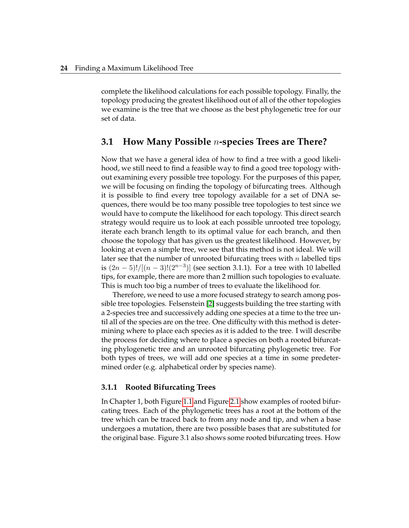complete the likelihood calculations for each possible topology. Finally, the topology producing the greatest likelihood out of all of the other topologies we examine is the tree that we choose as the best phylogenetic tree for our set of data.

#### **3.1 How Many Possible** n**-species Trees are There?**

Now that we have a general idea of how to find a tree with a good likelihood, we still need to find a feasible way to find a good tree topology without examining every possible tree topology. For the purposes of this paper, we will be focusing on finding the topology of bifurcating trees. Although it is possible to find every tree topology available for a set of DNA sequences, there would be too many possible tree topologies to test since we would have to compute the likelihood for each topology. This direct search strategy would require us to look at each possible unrooted tree topology, iterate each branch length to its optimal value for each branch, and then choose the topology that has given us the greatest likelihood. However, by looking at even a simple tree, we see that this method is not ideal. We will later see that the number of unrooted bifurcating trees with  $n$  labelled tips is  $(2n-5)!/[(n-3)!(2^{n-3})]$  (see section 3.1.1). For a tree with 10 labelled tips, for example, there are more than 2 million such topologies to evaluate. This is much too big a number of trees to evaluate the likelihood for.

Therefore, we need to use a more focused strategy to search among possible tree topologies. Felsenstein [2] suggests building the tree starting with a 2-species tree and successively adding one species at a time to the tree until all of the species are on the tree. One difficulty with this method is determining where to place each species as it is added to the tree. I will describe the process for deciding where to place a species on both a rooted bifurcating phylogenetic tree and an unrooted bifurcating phylogenetic tree. For both types of trees, we will add one species at a time in some predetermined order (e.g. alphabetical order by species name).

#### **3.1.1 Rooted Bifurcating Trees**

In Chapter 1, both Figure 1.1 and Figure 2.1 show examples of rooted bifurcating trees. Each of the phylogenetic trees has a root at the bottom of the tree which can be traced back to from any node and tip, and when a base undergoes a mutation, there are two possible bases that are substituted for the original base. Figure 3.1 also shows some rooted bifurcating trees. How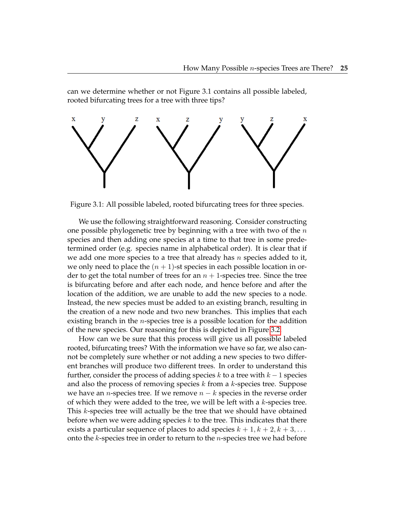can we determine whether or not Figure 3.1 contains all possible labeled, rooted bifurcating trees for a tree with three tips?



Figure 3.1: All possible labeled, rooted bifurcating trees for three species.

We use the following straightforward reasoning. Consider constructing one possible phylogenetic tree by beginning with a tree with two of the  $n$ species and then adding one species at a time to that tree in some predetermined order (e.g. species name in alphabetical order). It is clear that if we add one more species to a tree that already has n species added to it, we only need to place the  $(n + 1)$ -st species in each possible location in order to get the total number of trees for an  $n + 1$ -species tree. Since the tree is bifurcating before and after each node, and hence before and after the location of the addition, we are unable to add the new species to a node. Instead, the new species must be added to an existing branch, resulting in the creation of a new node and two new branches. This implies that each existing branch in the *n*-species tree is a possible location for the addition of the new species. Our reasoning for this is depicted in Figure 3.2.

How can we be sure that this process will give us all possible labeled rooted, bifurcating trees? With the information we have so far, we also cannot be completely sure whether or not adding a new species to two different branches will produce two different trees. In order to understand this further, consider the process of adding species k to a tree with  $k - 1$  species and also the process of removing species  $k$  from a  $k$ -species tree. Suppose we have an *n*-species tree. If we remove  $n - k$  species in the reverse order of which they were added to the tree, we will be left with a  $k$ -species tree. This k-species tree will actually be the tree that we should have obtained before when we were adding species  $k$  to the tree. This indicates that there exists a particular sequence of places to add species  $k + 1, k + 2, k + 3, \ldots$ onto the  $k$ -species tree in order to return to the  $n$ -species tree we had before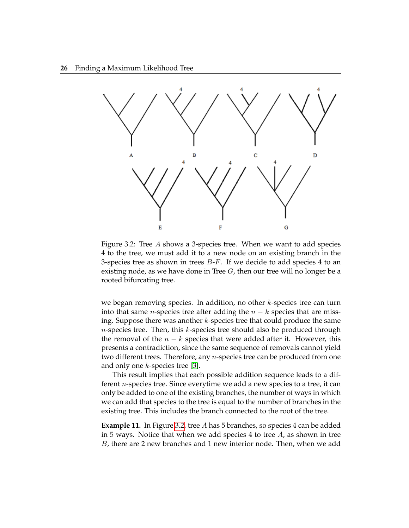

Figure 3.2: Tree A shows a 3-species tree. When we want to add species 4 to the tree, we must add it to a new node on an existing branch in the 3-species tree as shown in trees  $B-F$ . If we decide to add species 4 to an existing node, as we have done in Tree  $G$ , then our tree will no longer be a rooted bifurcating tree.

we began removing species. In addition, no other  $k$ -species tree can turn into that same *n*-species tree after adding the  $n - k$  species that are missing. Suppose there was another  $k$ -species tree that could produce the same  $n$ -species tree. Then, this  $k$ -species tree should also be produced through the removal of the  $n - k$  species that were added after it. However, this presents a contradiction, since the same sequence of removals cannot yield two different trees. Therefore, any  $n$ -species tree can be produced from one and only one k-species tree [3].

This result implies that each possible addition sequence leads to a different n-species tree. Since everytime we add a new species to a tree, it can only be added to one of the existing branches, the number of ways in which we can add that species to the tree is equal to the number of branches in the existing tree. This includes the branch connected to the root of the tree.

**Example 11.** In Figure 3.2, tree A has 5 branches, so species 4 can be added in 5 ways. Notice that when we add species 4 to tree  $A$ , as shown in tree B, there are 2 new branches and 1 new interior node. Then, when we add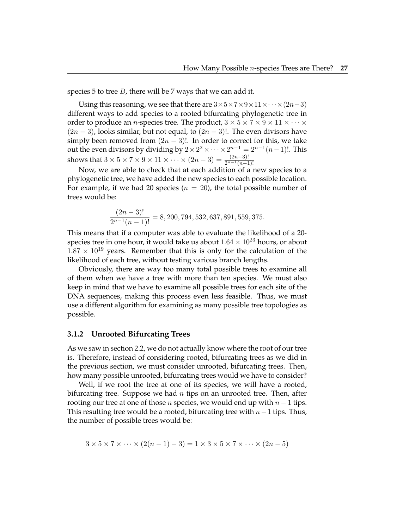species 5 to tree  $B$ , there will be 7 ways that we can add it.

Using this reasoning, we see that there are  $3\times5\times7\times9\times11\times\cdots\times(2n-3)$ different ways to add species to a rooted bifurcating phylogenetic tree in order to produce an *n*-species tree. The product,  $3 \times 5 \times 7 \times 9 \times 11 \times \cdots \times$  $(2n-3)$ , looks similar, but not equal, to  $(2n-3)!$ . The even divisors have simply been removed from  $(2n - 3)!$ . In order to correct for this, we take out the even divisors by dividing by  $2\times 2^2\times \cdots \times 2^{n-1}=2^{n-1}(n-1)!$ . This shows that  $3 \times 5 \times 7 \times 9 \times 11 \times \cdots \times (2n-3) = \frac{(2n-3)!}{2^{n-1}(n-1)!}$ 

Now, we are able to check that at each addition of a new species to a phylogenetic tree, we have added the new species to each possible location. For example, if we had 20 species ( $n = 20$ ), the total possible number of trees would be:

$$
\frac{(2n-3)!}{2^{n-1}(n-1)!} = 8,200,794,532,637,891,559,375.
$$

This means that if a computer was able to evaluate the likelihood of a 20 species tree in one hour, it would take us about  $1.64 \times 10^{23}$  hours, or about  $1.87 \times 10^{19}$  years. Remember that this is only for the calculation of the likelihood of each tree, without testing various branch lengths.

Obviously, there are way too many total possible trees to examine all of them when we have a tree with more than ten species. We must also keep in mind that we have to examine all possible trees for each site of the DNA sequences, making this process even less feasible. Thus, we must use a different algorithm for examining as many possible tree topologies as possible.

#### **3.1.2 Unrooted Bifurcating Trees**

As we saw in section 2.2, we do not actually know where the root of our tree is. Therefore, instead of considering rooted, bifurcating trees as we did in the previous section, we must consider unrooted, bifurcating trees. Then, how many possible unrooted, bifurcating trees would we have to consider?

Well, if we root the tree at one of its species, we will have a rooted, bifurcating tree. Suppose we had n tips on an unrooted tree. Then, after rooting our tree at one of those *n* species, we would end up with  $n - 1$  tips. This resulting tree would be a rooted, bifurcating tree with  $n-1$  tips. Thus, the number of possible trees would be:

$$
3 \times 5 \times 7 \times \dots \times (2(n-1)-3) = 1 \times 3 \times 5 \times 7 \times \dots \times (2n-5)
$$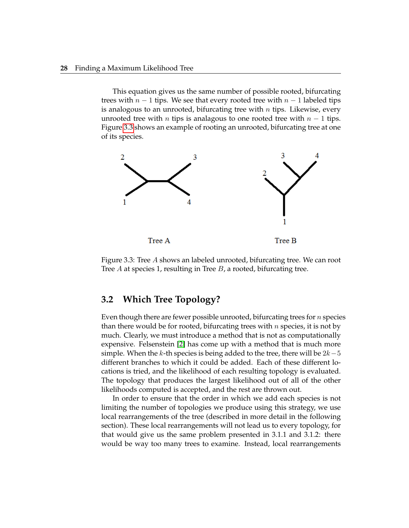This equation gives us the same number of possible rooted, bifurcating trees with  $n-1$  tips. We see that every rooted tree with  $n-1$  labeled tips is analogous to an unrooted, bifurcating tree with  $n$  tips. Likewise, every unrooted tree with *n* tips is analagous to one rooted tree with  $n - 1$  tips. Figure 3.3 shows an example of rooting an unrooted, bifurcating tree at one of its species.



Figure 3.3: Tree A shows an labeled unrooted, bifurcating tree. We can root Tree  $A$  at species 1, resulting in Tree  $B$ , a rooted, bifurcating tree.

#### **3.2 Which Tree Topology?**

Even though there are fewer possible unrooted, bifurcating trees for  $n$  species than there would be for rooted, bifurcating trees with  $n$  species, it is not by much. Clearly, we must introduce a method that is not as computationally expensive. Felsenstein [2] has come up with a method that is much more simple. When the k-th species is being added to the tree, there will be  $2k-5$ different branches to which it could be added. Each of these different locations is tried, and the likelihood of each resulting topology is evaluated. The topology that produces the largest likelihood out of all of the other likelihoods computed is accepted, and the rest are thrown out.

In order to ensure that the order in which we add each species is not limiting the number of topologies we produce using this strategy, we use local rearrangements of the tree (described in more detail in the following section). These local rearrangements will not lead us to every topology, for that would give us the same problem presented in 3.1.1 and 3.1.2: there would be way too many trees to examine. Instead, local rearrangements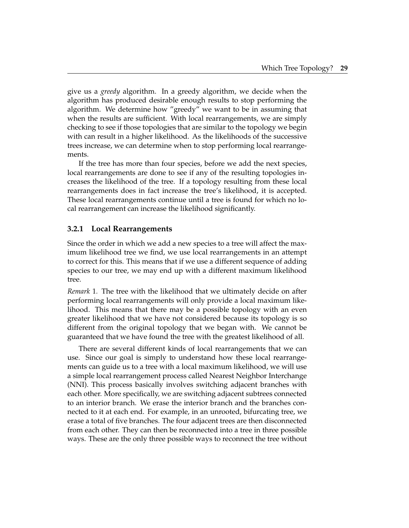give us a *greedy* algorithm. In a greedy algorithm, we decide when the algorithm has produced desirable enough results to stop performing the algorithm. We determine how "greedy" we want to be in assuming that when the results are sufficient. With local rearrangements, we are simply checking to see if those topologies that are similar to the topology we begin with can result in a higher likelihood. As the likelihoods of the successive trees increase, we can determine when to stop performing local rearrangements.

If the tree has more than four species, before we add the next species, local rearrangements are done to see if any of the resulting topologies increases the likelihood of the tree. If a topology resulting from these local rearrangements does in fact increase the tree's likelihood, it is accepted. These local rearrangements continue until a tree is found for which no local rearrangement can increase the likelihood significantly.

#### **3.2.1 Local Rearrangements**

Since the order in which we add a new species to a tree will affect the maximum likelihood tree we find, we use local rearrangements in an attempt to correct for this. This means that if we use a different sequence of adding species to our tree, we may end up with a different maximum likelihood tree.

*Remark* 1*.* The tree with the likelihood that we ultimately decide on after performing local rearrangements will only provide a local maximum likelihood. This means that there may be a possible topology with an even greater likelihood that we have not considered because its topology is so different from the original topology that we began with. We cannot be guaranteed that we have found the tree with the greatest likelihood of all.

There are several different kinds of local rearrangements that we can use. Since our goal is simply to understand how these local rearrangements can guide us to a tree with a local maximum likelihood, we will use a simple local rearrangement process called Nearest Neighbor Interchange (NNI). This process basically involves switching adjacent branches with each other. More specifically, we are switching adjacent subtrees connected to an interior branch. We erase the interior branch and the branches connected to it at each end. For example, in an unrooted, bifurcating tree, we erase a total of five branches. The four adjacent trees are then disconnected from each other. They can then be reconnected into a tree in three possible ways. These are the only three possible ways to reconnect the tree without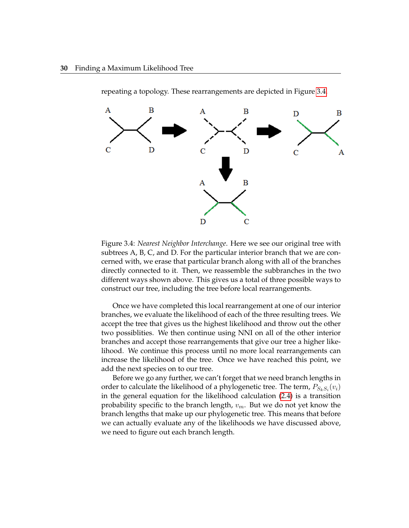

repeating a topology. These rearrangements are depicted in Figure 3.4.

Figure 3.4: *Nearest Neighbor Interchange*. Here we see our original tree with subtrees A, B, C, and D. For the particular interior branch that we are concerned with, we erase that particular branch along with all of the branches directly connected to it. Then, we reassemble the subbranches in the two different ways shown above. This gives us a total of three possible ways to construct our tree, including the tree before local rearrangements.

Once we have completed this local rearrangement at one of our interior branches, we evaluate the likelihood of each of the three resulting trees. We accept the tree that gives us the highest likelihood and throw out the other two possiblities. We then continue using NNI on all of the other interior branches and accept those rearrangements that give our tree a higher likelihood. We continue this process until no more local rearrangements can increase the likelihood of the tree. Once we have reached this point, we add the next species on to our tree.

Before we go any further, we can't forget that we need branch lengths in order to calculate the likelihood of a phylogenetic tree. The term,  $P_{S_kS_i}(v_i)$ in the general equation for the likelihood calculation (2.4) is a transition probability specific to the branch length,  $v_m$ . But we do not yet know the branch lengths that make up our phylogenetic tree. This means that before we can actually evaluate any of the likelihoods we have discussed above, we need to figure out each branch length.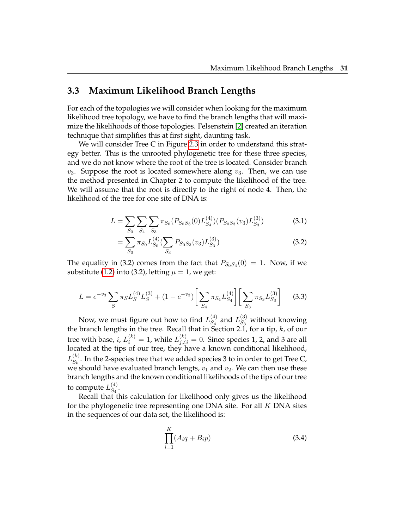#### **3.3 Maximum Likelihood Branch Lengths**

For each of the topologies we will consider when looking for the maximum likelihood tree topology, we have to find the branch lengths that will maximize the likelihoods of those topologies. Felsenstein [2] created an iteration technique that simplifies this at first sight, daunting task.

We will consider Tree C in Figure 2.3 in order to understand this strategy better. This is the unrooted phylogenetic tree for these three species, and we do not know where the root of the tree is located. Consider branch  $v_3$ . Suppose the root is located somewhere along  $v_3$ . Then, we can use the method presented in Chapter 2 to compute the likelihood of the tree. We will assume that the root is directly to the right of node 4. Then, the likelihood of the tree for one site of DNA is:

$$
L = \sum_{S_0} \sum_{S_4} \sum_{S_3} \pi_{S_0} (P_{S_0 S_3}(0) L_{S_4}^{(4)}) (P_{S_0 S_3}(v_3) L_{S_3}^{(3)}) \tag{3.1}
$$

$$
= \sum_{S_0} \pi_{S_0} L_{S_0}^{(4)} \left( \sum_{S_3} P_{S_0 S_3}(v_3) L_{S_3}^{(3)} \right) \tag{3.2}
$$

The equality in (3.2) comes from the fact that  $P_{S_0S_4}(0) = 1$ . Now, if we substitute (1.2) into (3.2), letting  $\mu = 1$ , we get:

$$
L = e^{-v_3} \sum_{S} \pi_S L_S^{(4)} L_S^{(3)} + (1 - e^{-v_3}) \left[ \sum_{S_4} \pi_{S_4} L_{S_4}^{(4)} \right] \left[ \sum_{S_3} \pi_{S_3} L_{S_3}^{(3)} \right] \tag{3.3}
$$

Now, we must figure out how to find  $L_{S_4}^{(4)}$  $\binom{4}{S_4}$  and  $L_{S_3}^{(3)}$  without knowing the branch lengths in the tree. Recall that in Section 2.1, for a tip,  $k$ , of our tree with base,  $i$ ,  $L_i^{(k)} = 1$ , while  $L_{j \neq i}^{(k)} = 0$ . Since species 1, 2, and 3 are all located at the tips of our tree, they have a known conditional likelihood,  $L_{S_i}^{(k)}$  $S_k^{(k)}$ . In the 2-species tree that we added species 3 to in order to get Tree C, we should have evaluated branch lengts,  $v_1$  and  $v_2$ . We can then use these branch lengths and the known conditional likelihoods of the tips of our tree to compute  $L_{S_4}^{(4)}$  $S_4$ .

Recall that this calculation for likelihood only gives us the likelihood for the phylogenetic tree representing one DNA site. For all K DNA sites in the sequences of our data set, the likelihood is:

$$
\prod_{i=1}^{K} (A_i q + B_i p) \tag{3.4}
$$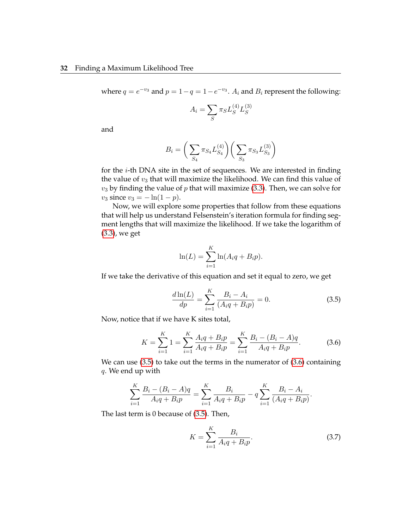where  $q = e^{-v_3}$  and  $p = 1 - q = 1 - e^{-v_3}$ .  $A_i$  and  $B_i$  represent the following:

$$
A_i = \sum_S \pi_S L_S^{(4)} L_S^{(3)}
$$

and

$$
B_i = \bigg(\sum_{S_4} \pi_{S_4} L_{S_4}^{(4)}\bigg) \bigg(\sum_{S_3} \pi_{S_3} L_{S_3}^{(3)}\bigg)
$$

for the i-th DNA site in the set of sequences. We are interested in finding the value of  $v_3$  that will maximize the likelihood. We can find this value of  $v_3$  by finding the value of p that will maximize (3.3). Then, we can solve for  $v_3$  since  $v_3 = -\ln(1-p)$ .

Now, we will explore some properties that follow from these equations that will help us understand Felsenstein's iteration formula for finding segment lengths that will maximize the likelihood. If we take the logarithm of (3.3), we get

$$
\ln(L) = \sum_{i=1}^{K} \ln(A_i q + B_i p).
$$

If we take the derivative of this equation and set it equal to zero, we get

$$
\frac{d\ln(L)}{dp} = \sum_{i=1}^{K} \frac{B_i - A_i}{(A_i q + B_i p)} = 0.
$$
\n(3.5)

Now, notice that if we have K sites total,

$$
K = \sum_{i=1}^{K} 1 = \sum_{i=1}^{K} \frac{A_i q + B_i p}{A_i q + B_i p} = \sum_{i=1}^{K} \frac{B_i - (B_i - A) q}{A_i q + B_i p}.
$$
 (3.6)

We can use (3.5) to take out the terms in the numerator of (3.6) containing q. We end up with

$$
\sum_{i=1}^{K} \frac{B_i - (B_i - A)q}{A_i q + B_i p} = \sum_{i=1}^{K} \frac{B_i}{A_i q + B_i p} - q \sum_{i=1}^{K} \frac{B_i - A_i}{(A_i q + B_i p)}.
$$

The last term is 0 because of (3.5). Then,

$$
K = \sum_{i=1}^{K} \frac{B_i}{A_i q + B_i p}.
$$
\n(3.7)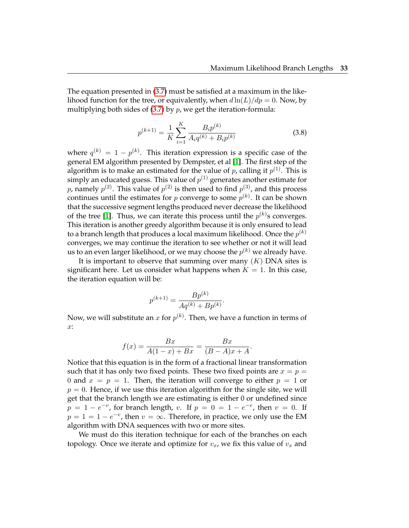The equation presented in (3.7) must be satisfied at a maximum in the likelihood function for the tree, or equivalently, when  $d \ln(L)/dp = 0$ . Now, by multiplying both sides of  $(3.7)$  by  $p$ , we get the iteration-formula:

$$
p^{(k+1)} = \frac{1}{K} \sum_{i=1}^{K} \frac{B_i p^{(k)}}{A_i q^{(k)} + B_i p^{(k)}}
$$
(3.8)

where  $q^{(k)} = 1 - p^{(k)}$ . This iteration expression is a specific case of the general EM algorithm presented by Dempster, et al [1]. The first step of the algorithm is to make an estimated for the value of  $p$ , calling it  $p^{(1)}$ . This is simply an educated guess. This value of  $p^{(1)}$  generates another estimate for p, namely  $p^{(2)}$ . This value of  $p^{(2)}$  is then used to find  $p^{(3)}$ , and this process continues until the estimates for  $p$  converge to some  $p^{(k)}$ . It can be shown that the successive segment lengths produced never decrease the likelihood of the tree [1]. Thus, we can iterate this process until the  $p^{(k)}$ s converges. This iteration is another greedy algorithm because it is only ensured to lead to a branch length that produces a local maximum likelihood. Once the  $p^{(k)}$ converges, we may continue the iteration to see whether or not it will lead us to an even larger likelihood, or we may choose the  $p^{(k)}$  we already have.

It is important to observe that summing over many  $(K)$  DNA sites is significant here. Let us consider what happens when  $K = 1$ . In this case, the iteration equation will be:

$$
p^{(k+1)} = \frac{Bp^{(k)}}{Aq^{(k)} + Bp^{(k)}}.
$$

Now, we will substitute an  $x$  for  $p^{(k)}.$  Then, we have a function in terms of  $x:$ 

$$
f(x) = \frac{Bx}{A(1-x) + Bx} = \frac{Bx}{(B-A)x + A}.
$$

Notice that this equation is in the form of a fractional linear transformation such that it has only two fixed points. These two fixed points are  $x = p =$ 0 and  $x = p = 1$ . Then, the iteration will converge to either  $p = 1$  or  $p = 0$ . Hence, if we use this iteration algorithm for the single site, we will get that the branch length we are estimating is either 0 or undefined since  $p = 1 - e^{-v}$ , for branch length, v. If  $p = 0 = 1 - e^{-v}$ , then  $v = 0$ . If  $p = 1 = 1 - e^{-v}$ , then  $v = \infty$ . Therefore, in practice, we only use the EM algorithm with DNA sequences with two or more sites.

We must do this iteration technique for each of the branches on each topology. Once we iterate and optimize for  $v_x$ , we fix this value of  $v_x$  and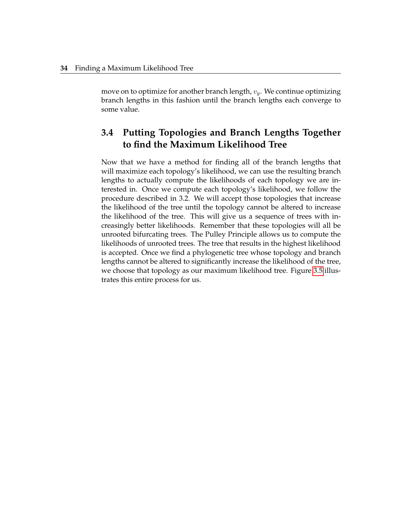move on to optimize for another branch length,  $v_y$ . We continue optimizing branch lengths in this fashion until the branch lengths each converge to some value.

#### **3.4 Putting Topologies and Branch Lengths Together to find the Maximum Likelihood Tree**

Now that we have a method for finding all of the branch lengths that will maximize each topology's likelihood, we can use the resulting branch lengths to actually compute the likelihoods of each topology we are interested in. Once we compute each topology's likelihood, we follow the procedure described in 3.2. We will accept those topologies that increase the likelihood of the tree until the topology cannot be altered to increase the likelihood of the tree. This will give us a sequence of trees with increasingly better likelihoods. Remember that these topologies will all be unrooted bifurcating trees. The Pulley Principle allows us to compute the likelihoods of unrooted trees. The tree that results in the highest likelihood is accepted. Once we find a phylogenetic tree whose topology and branch lengths cannot be altered to significantly increase the likelihood of the tree, we choose that topology as our maximum likelihood tree. Figure 3.5 illustrates this entire process for us.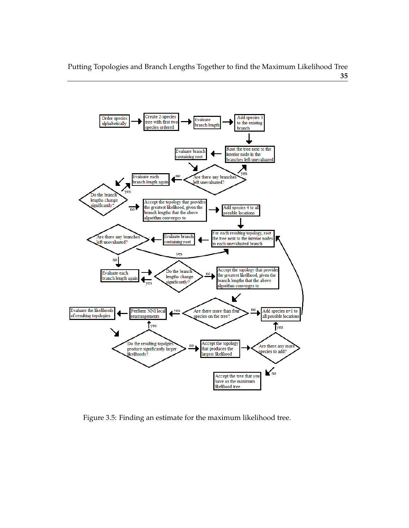Putting Topologies and Branch Lengths Together to find the Maximum Likelihood Tree **35**



Figure 3.5: Finding an estimate for the maximum likelihood tree.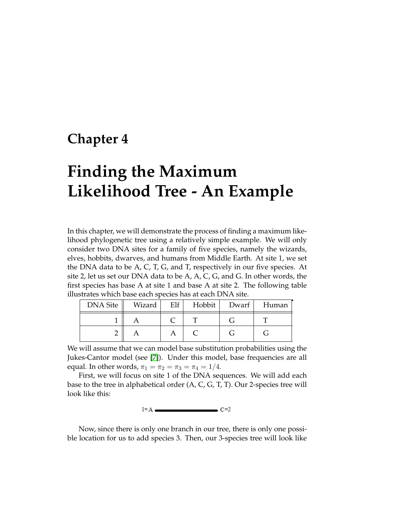### **Chapter 4**

# **Finding the Maximum Likelihood Tree - An Example**

In this chapter, we will demonstrate the process of finding a maximum likelihood phylogenetic tree using a relatively simple example. We will only consider two DNA sites for a family of five species, namely the wizards, elves, hobbits, dwarves, and humans from Middle Earth. At site 1, we set the DNA data to be A, C, T, G, and T, respectively in our five species. At site 2, let us set our DNA data to be A, A, C, G, and G. In other words, the first species has base A at site 1 and base A at site 2. The following table illustrates which base each species has at each DNA site.

| DNA Site | Wizard | $E$ lf | Hobbit Dwarf | Human |
|----------|--------|--------|--------------|-------|
|          |        |        |              |       |
|          |        |        |              |       |

We will assume that we can model base substitution probabilities using the Jukes-Cantor model (see [7]). Under this model, base frequencies are all equal. In other words,  $\pi_1 = \pi_2 = \pi_3 = \pi_4 = 1/4$ .

First, we will focus on site 1 of the DNA sequences. We will add each base to the tree in alphabetical order (A, C, G, T, T). Our 2-species tree will look like this:



Now, since there is only one branch in our tree, there is only one possible location for us to add species 3. Then, our 3-species tree will look like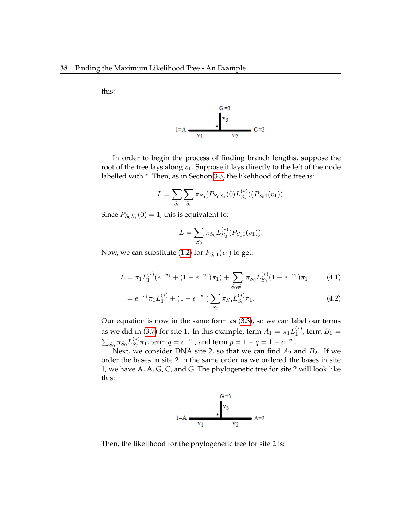this:



In order to begin the process of finding branch lengths, suppose the root of the tree lays along  $v_1$ . Suppose it lays directly to the left of the node labelled with \*. Then, as in Section 3.3, the likelihood of the tree is:

$$
L = \sum_{S_0} \sum_{S_*} \pi_{S_0}(P_{S_0S_*}(0)L_{S_*}^{(*)})(P_{S_01}(v_1)).
$$

Since  $P_{S_0S_*}(0)=1$ , this is equivalent to:

$$
L = \sum_{S_0} \pi_{S_0} L_{S_0}^{(*)} (P_{S_0 1}(v_1)).
$$

Now, we can substitute (1.2) for  $P_{S_01}(v_1)$  to get:

$$
L = \pi_1 L_1^{(*)} (e^{-v_1} + (1 - e^{-v_1}) \pi_1) + \sum_{S_0 \neq 1} \pi_{S_0} L_{S_0}^{(*)} (1 - e^{-v_1}) \pi_1 \tag{4.1}
$$

$$
= e^{-v_1} \pi_1 L_1^{(*)} + (1 - e^{-v_1}) \sum_{S_0} \pi_{S_0} L_{S_0}^{(*)} \pi_1.
$$
 (4.2)

Our equation is now in the same form as (3.3), so we can label our terms as we did in (3.7) for site 1. In this example, term  $A_1 = \pi_1 L_1^{(*)}$  $1^{(*)}$ , term  $B_1 =$  $\sum_{S_0} \pi_{S_0} L_{S_0}^{(*)}$  $S_0^{(*)}\pi_1$ , term  $q = e^{-v_1}$ , and term  $p = 1 - q = 1 - e^{-v_1}$ .

Next, we consider DNA site 2, so that we can find  $A_2$  and  $B_2$ . If we order the bases in site 2 in the same order as we ordered the bases in site 1, we have A, A, G, C, and G. The phylogenetic tree for site 2 will look like this:



Then, the likelihood for the phylogenetic tree for site 2 is: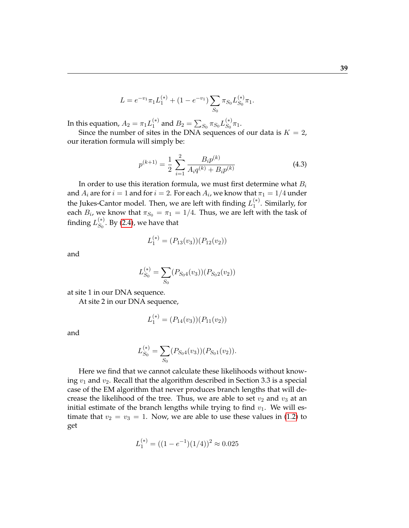$$
L = e^{-v_1} \pi_1 L_1^{(*)} + (1 - e^{-v_1}) \sum_{S_0} \pi_{S_0} L_{S_0}^{(*)} \pi_1.
$$

In this equation,  $A_2 = \pi_1 L_1^{(*)}$  $_1^{(*)}$  and  $B_2=\sum_{S_0}\pi_{S_0}L_{S_0}^{(*)}$  $_{S_0}^{(*)}\pi_1.$ 

Since the number of sites in the DNA sequences of our data is  $K = 2$ , our iteration formula will simply be:

$$
p^{(k+1)} = \frac{1}{2} \sum_{i=1}^{2} \frac{B_i p^{(k)}}{A_i q^{(k)} + B_i p^{(k)}}
$$
(4.3)

In order to use this iteration formula, we must first determine what  $B_i$ and  $A_i$  are for  $i=1$  and for  $i=2.$  For each  $A_i$ , we know that  $\pi_1=1/4$  under the Jukes-Cantor model. Then, we are left with finding  $L_1^{(*)}$  $i<sup>*</sup>$ . Similarly, for each  $B_i$ , we know that  $\pi_{S_0} = \pi_1 = 1/4$ . Thus, we are left with the task of finding  $L_{S_0}^{(*)}$  $\int_{S_0}^{S_0}$ . By (2.4), we have that

$$
L_1^{(*)} = (P_{13}(v_3))(P_{12}(v_2))
$$

and

$$
L_{S_0}^{(*)} = \sum_{S_0} (P_{S_04}(v_3)) (P_{S_02}(v_2))
$$

at site 1 in our DNA sequence.

At site 2 in our DNA sequence,

$$
L_1^{(*)} = (P_{14}(v_3))(P_{11}(v_2))
$$

and

$$
L_{S_0}^{(*)} = \sum_{S_0} (P_{S_04}(v_3)) (P_{S_01}(v_2)).
$$

Here we find that we cannot calculate these likelihoods without knowing  $v_1$  and  $v_2$ . Recall that the algorithm described in Section 3.3 is a special case of the EM algorithm that never produces branch lengths that will decrease the likelihood of the tree. Thus, we are able to set  $v_2$  and  $v_3$  at an initial estimate of the branch lengths while trying to find  $v_1$ . We will estimate that  $v_2 = v_3 = 1$ . Now, we are able to use these values in (1.2) to get

$$
L_1^{(*)} = ((1 - e^{-1})(1/4))^2 \approx 0.025
$$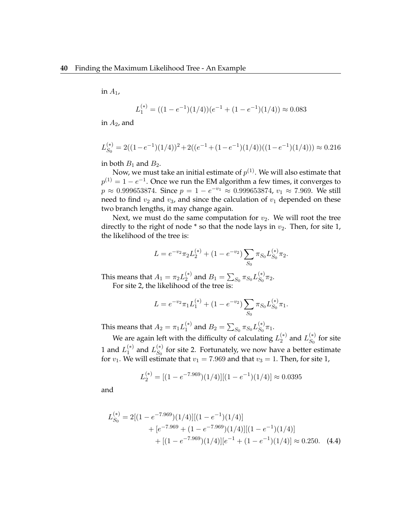in  $A_1$ ,

$$
L_1^{(*)} = ((1 - e^{-1})(1/4))(e^{-1} + (1 - e^{-1})(1/4)) \approx 0.083
$$

in  $A_2$ , and

$$
L_{S_0}^{(*)} = 2((1 - e^{-1})(1/4))^2 + 2((e^{-1} + (1 - e^{-1})(1/4))((1 - e^{-1})(1/4))) \approx 0.216
$$

in both  $B_1$  and  $B_2$ .

Now, we must take an initial estimate of  $p^{(1)}.$  We will also estimate that  $p^{(1)}=1-e^{-1}.$  Once we run the EM algorithm a few times, it converges to  $p \approx 0.999653874$ . Since  $p = 1 - e^{-v_1} \approx 0.999653874$ ,  $v_1 \approx 7.969$ . We still need to find  $v_2$  and  $v_3$ , and since the calculation of  $v_1$  depended on these two branch lengths, it may change again.

Next, we must do the same computation for  $v_2$ . We will root the tree directly to the right of node  $*$  so that the node lays in  $v_2$ . Then, for site 1, the likelihood of the tree is:

$$
L = e^{-v_2} \pi_2 L_2^{(*)} + (1 - e^{-v_2}) \sum_{S_0} \pi_{S_0} L_{S_0}^{(*)} \pi_2.
$$

This means that  $A_1 = \pi_2 L_2^{(*)}$  $_2^{(*)}$  and  $B_1=\sum_{S_0}\pi_{S_0}L_{S_0}^{(*)}$  ${}_{S_0}^{(*)}\pi_2.$ For site 2, the likelihood of the tree is:

> $L = e^{-v_2} \pi_1 L_1^{(*)} + (1 - e^{-v_2}) \sum$  $S_{0}$  $\pi_{S_0} L_{S_0}^{(*)}$  ${}_{S_0}^{(*)}\pi_1.$

This means that  $A_2 = \pi_1 L_1^{(*)}$  $_1^{(*)}$  and  $B_2=\sum_{S_0}\pi_{S_0}L_{S_0}^{(*)}$  ${}_{S_0}^{(*)}\pi_1.$ 

We are again left with the difficulty of calculating  $L_2^{(*)}$  $_2^{(*)}$  and  $L_{S_0}^{(*)}$  $\int_{S_0}^{+\gamma}$  for site 1 and  $L_1^{(*)}$  $_1^{(*)}$  and  $L_{S_0}^{(*)}$  $S_0^{(*)}$  for site 2. Fortunately, we now have a better estimate for  $v_1$ . We will estimate that  $v_1 = 7.969$  and that  $v_3 = 1$ . Then, for site 1,

$$
L_2^{(*)} = [(1 - e^{-7.969})(1/4)][(1 - e^{-1})(1/4)] \approx 0.0395
$$

and

$$
L_{S_0}^{(*)} = 2[(1 - e^{-7.969})(1/4)][(1 - e^{-1})(1/4)]
$$
  
+  $[e^{-7.969} + (1 - e^{-7.969})(1/4)][(1 - e^{-1})(1/4)]$   
+  $[(1 - e^{-7.969})(1/4)][e^{-1} + (1 - e^{-1})(1/4)] \approx 0.250.$  (4.4)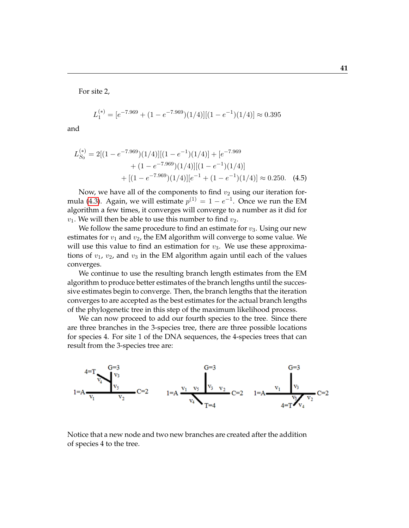For site 2,

$$
L_1^{(*)} = [e^{-7.969} + (1 - e^{-7.969})(1/4)][(1 - e^{-1})(1/4)] \approx 0.395
$$

and

$$
L_{S_0}^{(*)} = 2[(1 - e^{-7.969})(1/4)][(1 - e^{-1})(1/4)] + [e^{-7.969} + (1 - e^{-7.969})(1/4)][(1 - e^{-1})(1/4)] + [(1 - e^{-7.969})(1/4)][e^{-1} + (1 - e^{-1})(1/4)] \approx 0.250.
$$
 (4.5)

Now, we have all of the components to find  $v_2$  using our iteration formula (4.3). Again, we will estimate  $p^{(1)} = 1 - e^{-1}$ . Once we run the EM algorithm a few times, it converges will converge to a number as it did for  $v_1$ . We will then be able to use this number to find  $v_2$ .

We follow the same procedure to find an estimate for  $v_3$ . Using our new estimates for  $v_1$  and  $v_2$ , the EM algorithm will converge to some value. We will use this value to find an estimation for  $v_3$ . We use these approximations of  $v_1$ ,  $v_2$ , and  $v_3$  in the EM algorithm again until each of the values converges.

We continue to use the resulting branch length estimates from the EM algorithm to produce better estimates of the branch lengths until the successive estimates begin to converge. Then, the branch lengths that the iteration converges to are accepted as the best estimates for the actual branch lengths of the phylogenetic tree in this step of the maximum likelihood process.

We can now proceed to add our fourth species to the tree. Since there are three branches in the 3-species tree, there are three possible locations for species 4. For site 1 of the DNA sequences, the 4-species trees that can result from the 3-species tree are:



Notice that a new node and two new branches are created after the addition of species 4 to the tree.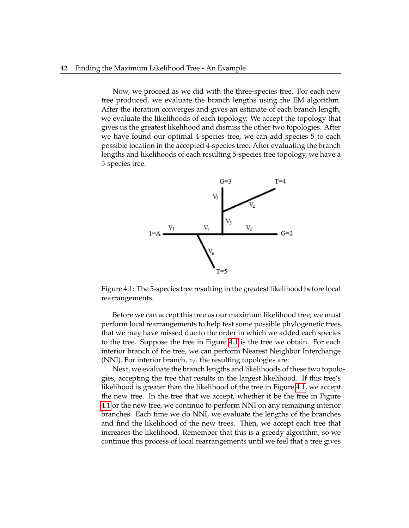Now, we proceed as we did with the three-species tree. For each new tree produced, we evaluate the branch lengths using the EM algorithm. After the iteration converges and gives an estimate of each branch length, we evaluate the likelihoods of each topology. We accept the topology that gives us the greatest likelihood and dismiss the other two topologies. After we have found our optimal 4-species tree, we can add species 5 to each possible location in the accepted 4-species tree. After evaluating the branch lengths and likelihoods of each resulting 5-species tree topology, we have a 5-species tree.



Figure 4.1: The 5-species tree resulting in the greatest likelihood before local rearrangements.

Before we can accept this tree as our maximum likelihood tree, we must perform local rearrangements to help test some possible phylogenetic trees that we may have missed due to the order in which we added each species to the tree. Suppose the tree in Figure 4.1 is the tree we obtain. For each interior branch of the tree, we can perform Nearest Neighbor Interchange (NNI). For interior branch,  $v_7$ . the resulting topologies are:

Next, we evaluate the branch lengths and likelihoods of these two topologies, accepting the tree that results in the largest likelihood. If this tree's likelihood is greater than the likelihood of the tree in Figure 4.1, we accept the new tree. In the tree that we accept, whether it be the tree in Figure 4.1 or the new tree, we continue to perform NNI on any remaining interior branches. Each time we do NNI, we evaluate the lengths of the branches and find the likelihood of the new trees. Then, we accept each tree that increases the likelihood. Remember that this is a greedy algorithm, so we continue this process of local rearrangements until we feel that a tree gives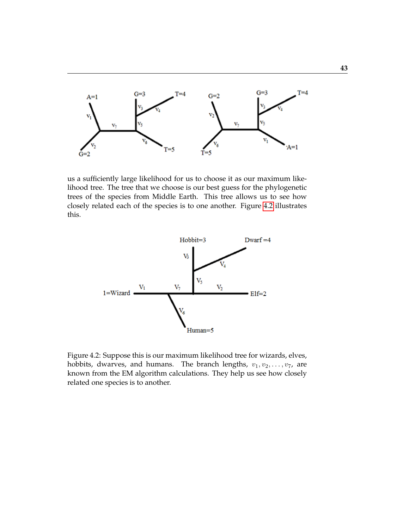

us a sufficiently large likelihood for us to choose it as our maximum likelihood tree. The tree that we choose is our best guess for the phylogenetic trees of the species from Middle Earth. This tree allows us to see how closely related each of the species is to one another. Figure 4.2 illustrates this.



Figure 4.2: Suppose this is our maximum likelihood tree for wizards, elves, hobbits, dwarves, and humans. The branch lengths,  $v_1, v_2, \ldots, v_7$ , are known from the EM algorithm calculations. They help us see how closely related one species is to another.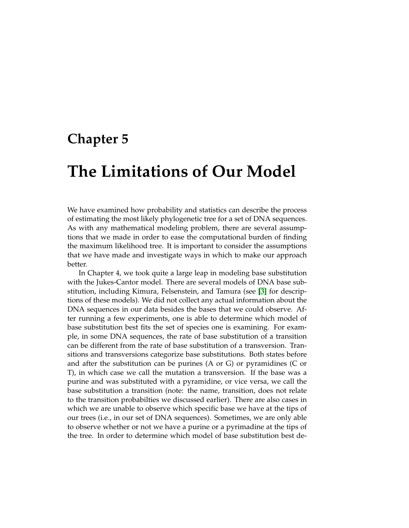### **Chapter 5**

## **The Limitations of Our Model**

We have examined how probability and statistics can describe the process of estimating the most likely phylogenetic tree for a set of DNA sequences. As with any mathematical modeling problem, there are several assumptions that we made in order to ease the computational burden of finding the maximum likelihood tree. It is important to consider the assumptions that we have made and investigate ways in which to make our approach better.

In Chapter 4, we took quite a large leap in modeling base substitution with the Jukes-Cantor model. There are several models of DNA base substitution, including Kimura, Felsenstein, and Tamura (see [3] for descriptions of these models). We did not collect any actual information about the DNA sequences in our data besides the bases that we could observe. After running a few experiments, one is able to determine which model of base substitution best fits the set of species one is examining. For example, in some DNA sequences, the rate of base substitution of a transition can be different from the rate of base substitution of a transversion. Transitions and transversions categorize base substitutions. Both states before and after the substitution can be purines (A or G) or pyramidines (C or T), in which case we call the mutation a transversion. If the base was a purine and was substituted with a pyramidine, or vice versa, we call the base substitution a transition (note: the name, transition, does not relate to the transition probabilties we discussed earlier). There are also cases in which we are unable to observe which specific base we have at the tips of our trees (i.e., in our set of DNA sequences). Sometimes, we are only able to observe whether or not we have a purine or a pyrimadine at the tips of the tree. In order to determine which model of base substitution best de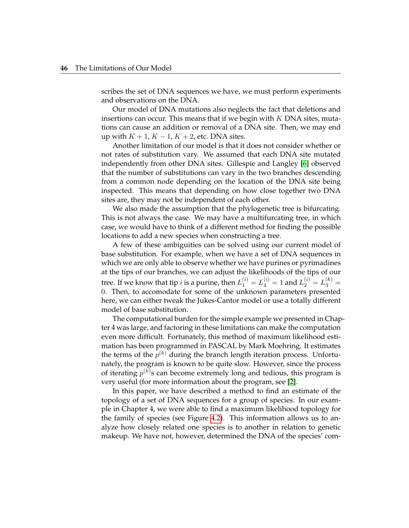scribes the set of DNA sequences we have, we must perform experiments and observations on the DNA.

Our model of DNA mutations also neglects the fact that deletions and insertions can occur. This means that if we begin with  $K$  DNA sites, mutations can cause an addition or removal of a DNA site. Then, we may end up with  $K + 1$ ,  $K - 1$ ,  $K + 2$ , etc. DNA sites.

Another limitation of our model is that it does not consider whether or not rates of substitution vary. We assumed that each DNA site mutated independently from other DNA sites. Gillespie and Langley [6] observed that the number of substitutions can vary in the two branches descending from a common node depending on the location of the DNA site being inspected. This means that depending on how close together two DNA sites are, they may not be independent of each other.

We also made the assumption that the phylogenetic tree is bifurcating. This is not always the case. We may have a multifurcating tree, in which case, we would have to think of a different method for finding the possible locations to add a new species when constructing a tree.

A few of these ambiguities can be solved using our current model of base substitution. For example, when we have a set of DNA sequences in which we are only able to observe whether we have purines or pyrimadines at the tips of our branches, we can adjust the likelihoods of the tips of our tree. If we know that tip  $i$  is a purine, then  $L_1^{(i)} = L_4^{(i)} = 1$  and  $L_2^{(i)} = L_3^{(k)} = 1$ 0. Then, to accomodate for some of the unknown parameters presented here, we can either tweak the Jukes-Cantor model or use a totally different model of base substitution.

The computational burden for the simple example we presented in Chapter 4 was large, and factoring in these limitations can make the computation even more difficult. Fortunately, this method of maximum likelihood estimation has been programmed in PASCAL by Mark Moehring. It estimates the terms of the  $p^{(k)}$  during the branch length iteration process. Unfortunately, the program is known to be quite slow. However, since the process of iterating  $p^{(k)}$ s can become extremely long and tedious, this program is very useful (for more information about the program, see [2].

In this paper, we have described a method to find an estimate of the topology of a set of DNA sequences for a group of species. In our example in Chapter 4, we were able to find a maximum likelihood topology for the family of species (see Figure 4.2). This information allows us to analyze how closely related one species is to another in relation to genetic makeup. We have not, however, determined the DNA of the species' com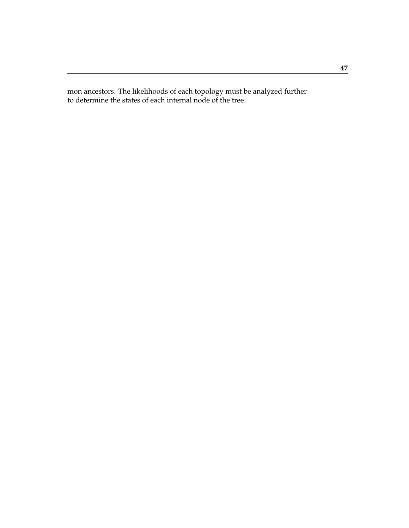mon ancestors. The likelihoods of each topology must be analyzed further to determine the states of each internal node of the tree.